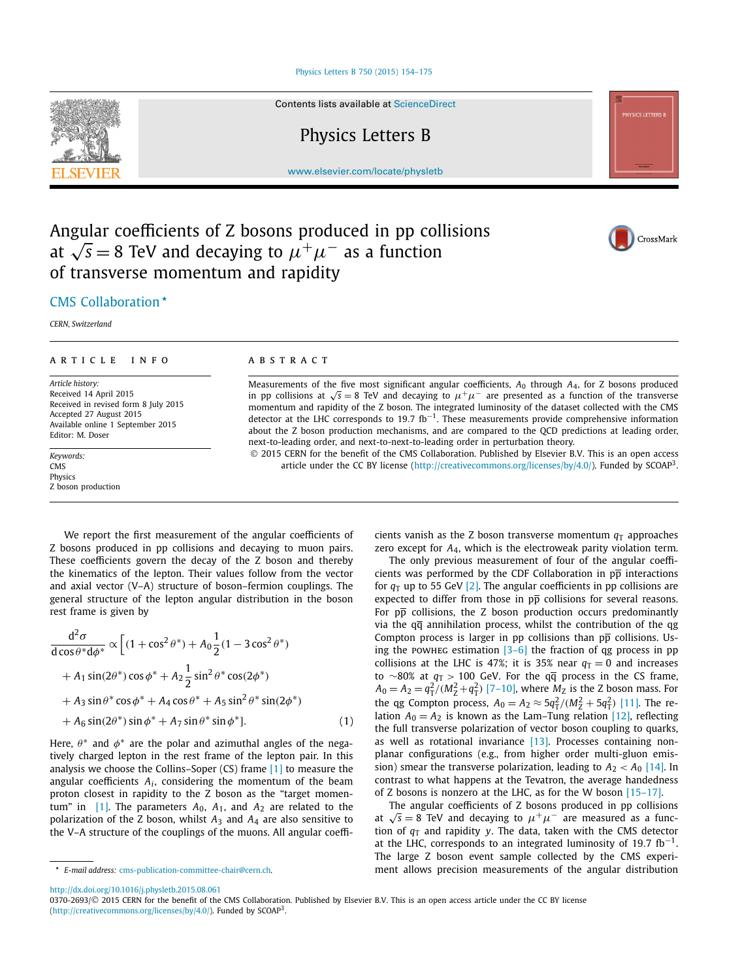#### [Physics Letters B 750 \(2015\) 154–175](http://dx.doi.org/10.1016/j.physletb.2015.08.061)

Contents lists available at [ScienceDirect](http://www.ScienceDirect.com/)

Physics Letters B

[www.elsevier.com/locate/physletb](http://www.elsevier.com/locate/physletb)

# Angular coefficients of Z bosons produced in pp collisions at  $\sqrt{s} = 8$  TeV and decaying to  $\mu^+ \mu^-$  as a function of transverse momentum and rapidity

# .CMS [Collaboration](#page-7-0) *-*

*CERN, Switzerland*

#### A R T I C L E I N F O A B S T R A C T

*Article history:* Received 14 April 2015 Received in revised form 8 July 2015 Accepted 27 August 2015 Available online 1 September 2015 Editor: M. Doser

*Keywords:* CMS Physics Z boson production

Measurements of the five most significant angular coefficients,  $A_0$  through  $A_4$ , for Z bosons produced in pp collisions at  $\sqrt{s}$  = 8 TeV and decaying to  $\mu^+\mu^-$  are presented as a function of the transverse momentum and rapidity of the Z boson. The integrated luminosity of the dataset collected with the CMS detector at the LHC corresponds to 19*.*7 fb<sup>−</sup>1. These measurements provide comprehensive information about the Z boson production mechanisms, and are compared to the QCD predictions at leading order, next-to-leading order, and next-to-next-to-leading order in perturbation theory.

© 2015 CERN for the benefit of the CMS Collaboration. Published by Elsevier B.V. This is an open access article under the CC BY license [\(http://creativecommons.org/licenses/by/4.0/\)](http://creativecommons.org/licenses/by/4.0/). Funded by  $SCOAP<sup>3</sup>$ .

We report the first measurement of the angular coefficients of Z bosons produced in pp collisions and decaying to muon pairs. These coefficients govern the decay of the Z boson and thereby the kinematics of the lepton. Their values follow from the vector and axial vector (V–A) structure of boson–fermion couplings. The general structure of the lepton angular distribution in the boson rest frame is given by

$$
\frac{d^2\sigma}{d\cos\theta^*\,d\phi^*} \propto \left[ (1 + \cos^2\theta^*) + A_0 \frac{1}{2} (1 - 3\cos^2\theta^*) + A_1 \sin(2\theta^*) \cos\phi^* + A_2 \frac{1}{2} \sin^2\theta^* \cos(2\phi^*) + A_3 \sin\theta^* \cos\phi^* + A_4 \cos\theta^* + A_5 \sin^2\theta^* \sin(2\phi^*) + A_6 \sin(2\theta^*) \sin\phi^* + A_7 \sin\theta^* \sin\phi^* \right].
$$
\n(1)

Here,  $\theta^*$  and  $\phi^*$  are the polar and azimuthal angles of the negatively charged lepton in the rest frame of the lepton pair. In this analysis we choose the Collins–Soper (CS) frame [\[1\]](#page-6-0) to measure the angular coefficients *Ai* , considering the momentum of the beam proton closest in rapidity to the Z boson as the "target momen-tum" in [\[1\].](#page-6-0) The parameters  $A_0$ ,  $A_1$ , and  $A_2$  are related to the polarization of the Z boson, whilst *A*<sup>3</sup> and *A*<sup>4</sup> are also sensitive to the V–A structure of the couplings of the muons. All angular coefficients vanish as the Z boson transverse momentum  $q<sub>T</sub>$  approaches zero except for *A*4, which is the electroweak parity violation term.

The only previous measurement of four of the angular coefficients was performed by the CDF Collaboration in  $p\bar{p}$  interactions for  $q_T$  up to 55 GeV [\[2\].](#page-6-0) The angular coefficients in pp collisions are expected to differ from those in  $p\bar{p}$  collisions for several reasons. For  $p\bar{p}$  collisions, the Z boson production occurs predominantly via the  $q\bar{q}$  annihilation process, whilst the contribution of the  $q\bar{q}$ Compton process is larger in pp collisions than  $p\bar{p}$  collisions. Using the powheg estimation  $[3-6]$  the fraction of qg process in pp collisions at the LHC is 47%; it is 35% near  $q_T = 0$  and increases to ∼80% at *q*<sup>T</sup> *>* 100 GeV. For the qq process in the CS frame,  $A_0 = A_2 = q_T^2/(M_Z^2 + q_T^2)$  [\[7–10\],](#page-6-0) where  $M_Z$  is the Z boson mass. For the qg Compton process,  $A_0 = A_2 \approx 5q_T^2/(M_Z^2 + 5q_T^2)$  [\[11\].](#page-6-0) The relation  $A_0 = A_2$  is known as the Lam–Tung relation [\[12\],](#page-6-0) reflecting the full transverse polarization of vector boson coupling to quarks, as well as rotational invariance  $[13]$ . Processes containing nonplanar configurations (e.g., from higher order multi-gluon emission) smear the transverse polarization, leading to  $A_2 < A_0$  [\[14\].](#page-6-0) In contrast to what happens at the Tevatron, the average handedness of Z bosons is nonzero at the LHC, as for the W boson [\[15–17\].](#page-6-0)

The angular coefficients of Z bosons produced in pp collisions at  $\sqrt{s} = 8$  TeV and decaying to  $\mu^+ \mu^-$  are measured as a function of  $q_T$  and rapidity *y*. The data, taken with the CMS detector at the LHC, corresponds to an integrated luminosity of 19.7 fb<sup>-1</sup>. The large Z boson event sample collected by the CMS experiment allows precision measurements of the angular distribution

<http://dx.doi.org/10.1016/j.physletb.2015.08.061>

<span id="page-0-0"></span>





*<sup>-</sup> E-mail address:* [cms-publication-committee-chair@cern.ch](mailto:cms-publication-committee-chair@cern.ch).

<sup>0370-2693/</sup>© 2015 CERN for the benefit of the CMS Collaboration. Published by Elsevier B.V. This is an open access article under the CC BY license [\(http://creativecommons.org/licenses/by/4.0/\)](http://creativecommons.org/licenses/by/4.0/). Funded by SCOAP3.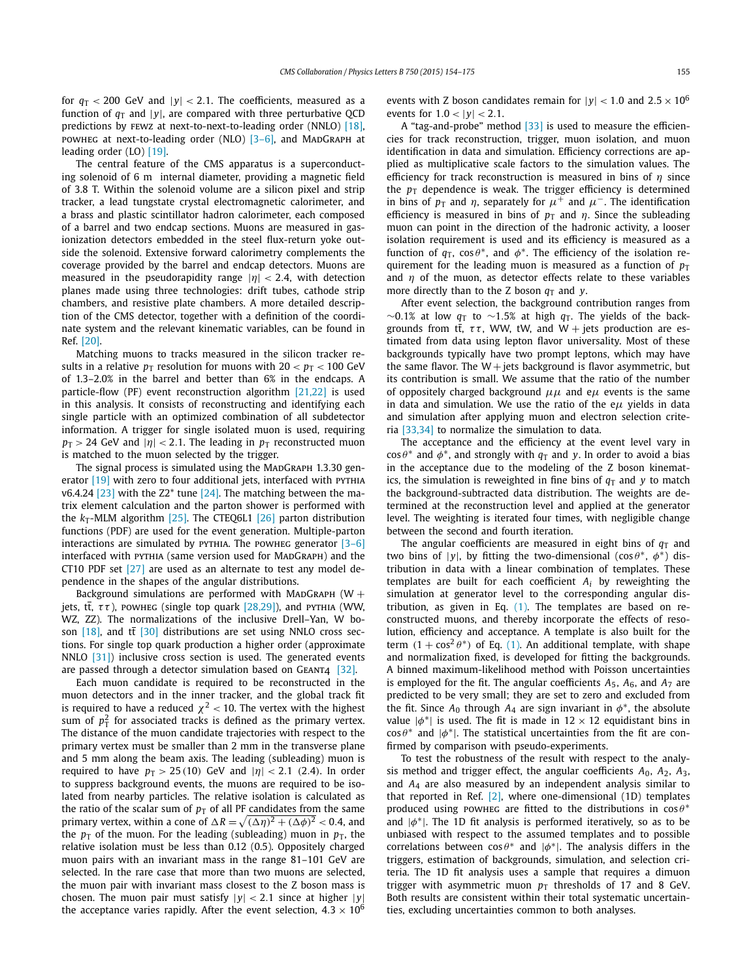for  $q_T < 200$  GeV and  $|y| < 2.1$ . The coefficients, measured as a function of  $q_T$  and |y|, are compared with three perturbative QCD predictions by fewz at next-to-next-to-leading order (NNLO) [\[18\],](#page-6-0) POWHEG at next-to-leading order (NLO)  $[3-6]$ , and MADGRAPH at leading order (LO) [\[19\].](#page-6-0)

The central feature of the CMS apparatus is a superconducting solenoid of 6 m internal diameter, providing a magnetic field of 3.8 T. Within the solenoid volume are a silicon pixel and strip tracker, a lead tungstate crystal electromagnetic calorimeter, and a brass and plastic scintillator hadron calorimeter, each composed of a barrel and two endcap sections. Muons are measured in gasionization detectors embedded in the steel flux-return yoke outside the solenoid. Extensive forward calorimetry complements the coverage provided by the barrel and endcap detectors. Muons are measured in the pseudorapidity range |*η*| *<* <sup>2</sup>*.*4, with detection planes made using three technologies: drift tubes, cathode strip chambers, and resistive plate chambers. A more detailed description of the CMS detector, together with a definition of the coordinate system and the relevant kinematic variables, can be found in Ref. [\[20\].](#page-6-0)

Matching muons to tracks measured in the silicon tracker results in a relative  $p<sub>T</sub>$  resolution for muons with  $20 < p<sub>T</sub> < 100$  GeV of 1.3–2.0% in the barrel and better than 6% in the endcaps. A particle-flow (PF) event reconstruction algorithm [\[21,22\]](#page-6-0) is used in this analysis. It consists of reconstructing and identifying each single particle with an optimized combination of all subdetector information. A trigger for single isolated muon is used, requiring  $p_T > 24$  GeV and  $|\eta| < 2.1$ . The leading in  $p_T$  reconstructed muon is matched to the muon selected by the trigger.

The signal process is simulated using the MADGRAPH 1.3.30 gen-erator [\[19\]](#page-6-0) with zero to four additional jets, interfaced with PYTHIA v6.4.24  $[23]$  with the Z2<sup>\*</sup> tune  $[24]$ . The matching between the matrix element calculation and the parton shower is performed with the  $k_T$ -MLM algorithm  $[25]$ . The CTEQ6L1  $[26]$  parton distribution functions (PDF) are used for the event generation. Multiple-parton interactions are simulated by PYTHIA. The POWHEG generator  $[3-6]$ interfaced with PYTHIA (same version used for MADGRAPH) and the CT10 PDF set [\[27\]](#page-6-0) are used as an alternate to test any model dependence in the shapes of the angular distributions.

Background simulations are performed with MADGRAPH ( $W +$ jets, tt,  $\tau\tau$ ), powheg (single top quark  $[28,29]$ ), and pyrhia (WW, WZ, ZZ). The normalizations of the inclusive Drell–Yan, W boson  $[18]$ , and tt  $[30]$  distributions are set using NNLO cross sections. For single top quark production a higher order (approximate NNLO [\[31\]\)](#page-6-0) inclusive cross section is used. The generated events are passed through a detector simulation based on  $GEMT4$  [\[32\].](#page-6-0)

Each muon candidate is required to be reconstructed in the muon detectors and in the inner tracker, and the global track fit is required to have a reduced  $\chi^2$  < 10. The vertex with the highest sum of  $p_T^2$  for associated tracks is defined as the primary vertex. The distance of the muon candidate trajectories with respect to the primary vertex must be smaller than 2 mm in the transverse plane and 5 mm along the beam axis. The leading (subleading) muon is required to have  $p_T > 25(10)$  GeV and  $|\eta| < 2.1(2.4)$ . In order to suppress background events, the muons are required to be isolated from nearby particles. The relative isolation is calculated as the ratio of the scalar sum of  $p<sub>T</sub>$  of all PF candidates from the same primary vertex, within a cone of  $\Delta R = \sqrt{(\Delta \eta)^2 + (\Delta \phi)^2} < 0.4$ , and the  $p<sub>T</sub>$  of the muon. For the leading (subleading) muon in  $p<sub>T</sub>$ , the relative isolation must be less than 0.12 (0.5). Oppositely charged muon pairs with an invariant mass in the range 81–101 GeV are selected. In the rare case that more than two muons are selected, the muon pair with invariant mass closest to the Z boson mass is chosen. The muon pair must satisfy  $|y| < 2.1$  since at higher  $|y|$ the acceptance varies rapidly. After the event selection,  $4.3 \times 10^6$ 

events with Z boson candidates remain for  $|y| < 1.0$  and  $2.5 \times 10^6$ events for  $1.0 < |y| < 2.1$ .

A "tag-and-probe" method  $[33]$  is used to measure the efficiencies for track reconstruction, trigger, muon isolation, and muon identification in data and simulation. Efficiency corrections are applied as multiplicative scale factors to the simulation values. The efficiency for track reconstruction is measured in bins of *η* since the  $p_T$  dependence is weak. The trigger efficiency is determined in bins of  $p_T$  and  $\eta$ , separately for  $\mu^+$  and  $\mu^-$ . The identification efficiency is measured in bins of  $p<sub>T</sub>$  and  $\eta$ . Since the subleading muon can point in the direction of the hadronic activity, a looser isolation requirement is used and its efficiency is measured as a function of  $q_T$ ,  $\cos \theta^*$ , and  $\phi^*$ . The efficiency of the isolation requirement for the leading muon is measured as a function of  $p<sub>T</sub>$ and *η* of the muon, as detector effects relate to these variables more directly than to the Z boson  $q_T$  and *y*.

After event selection, the background contribution ranges from ∼0*.*1% at low *q*<sup>T</sup> to ∼1*.*5% at high *q*T. The yields of the backgrounds from  $t\bar{t}$ ,  $\tau\tau$ , WW, tW, and W + jets production are estimated from data using lepton flavor universality. Most of these backgrounds typically have two prompt leptons, which may have the same flavor. The  $W +$ jets background is flavor asymmetric, but its contribution is small. We assume that the ratio of the number of oppositely charged background *μμ* and e*μ* events is the same in data and simulation. We use the ratio of the e*μ* yields in data and simulation after applying muon and electron selection criteria [\[33,34\]](#page-6-0) to normalize the simulation to data.

The acceptance and the efficiency at the event level vary in  $\cos \theta^*$  and  $\phi^*$ , and strongly with  $q_T$  and *y*. In order to avoid a bias in the acceptance due to the modeling of the Z boson kinematics, the simulation is reweighted in fine bins of  $q_T$  and *y* to match the background-subtracted data distribution. The weights are determined at the reconstruction level and applied at the generator level. The weighting is iterated four times, with negligible change between the second and fourth iteration.

The angular coefficients are measured in eight bins of  $q_T$  and two bins of |*y*|, by fitting the two-dimensional (cos $\theta^*$ ,  $\phi^*$ ) distribution in data with a linear combination of templates. These templates are built for each coefficient *Ai* by reweighting the simulation at generator level to the corresponding angular distribution, as given in Eq.  $(1)$ . The templates are based on reconstructed muons, and thereby incorporate the effects of resolution, efficiency and acceptance. A template is also built for the term  $(1 + \cos^2 \theta^*)$  of Eq. [\(1\).](#page-0-0) An additional template, with shape and normalization fixed, is developed for fitting the backgrounds. A binned maximum-likelihood method with Poisson uncertainties is employed for the fit. The angular coefficients  $A_5$ ,  $A_6$ , and  $A_7$  are predicted to be very small; they are set to zero and excluded from the fit. Since  $A_0$  through  $A_4$  are sign invariant in  $\phi^*$ , the absolute value  $|\phi^*|$  is used. The fit is made in  $12 \times 12$  equidistant bins in  $\cos \theta^*$  and  $|\phi^*|$ . The statistical uncertainties from the fit are confirmed by comparison with pseudo-experiments.

To test the robustness of the result with respect to the analysis method and trigger effect, the angular coefficients *A*0, *A*2, *A*3, and *A*<sup>4</sup> are also measured by an independent analysis similar to that reported in Ref.  $[2]$ , where one-dimensional  $(1D)$  templates produced using powhec are fitted to the distributions in  $\cos \theta^*$ and  $|\phi^*|$ . The 1D fit analysis is performed iteratively, so as to be unbiased with respect to the assumed templates and to possible correlations between  $\cos \theta^*$  and  $|\phi^*|$ . The analysis differs in the triggers, estimation of backgrounds, simulation, and selection criteria. The 1D fit analysis uses a sample that requires a dimuon trigger with asymmetric muon  $p_T$  thresholds of 17 and 8 GeV. Both results are consistent within their total systematic uncertainties, excluding uncertainties common to both analyses.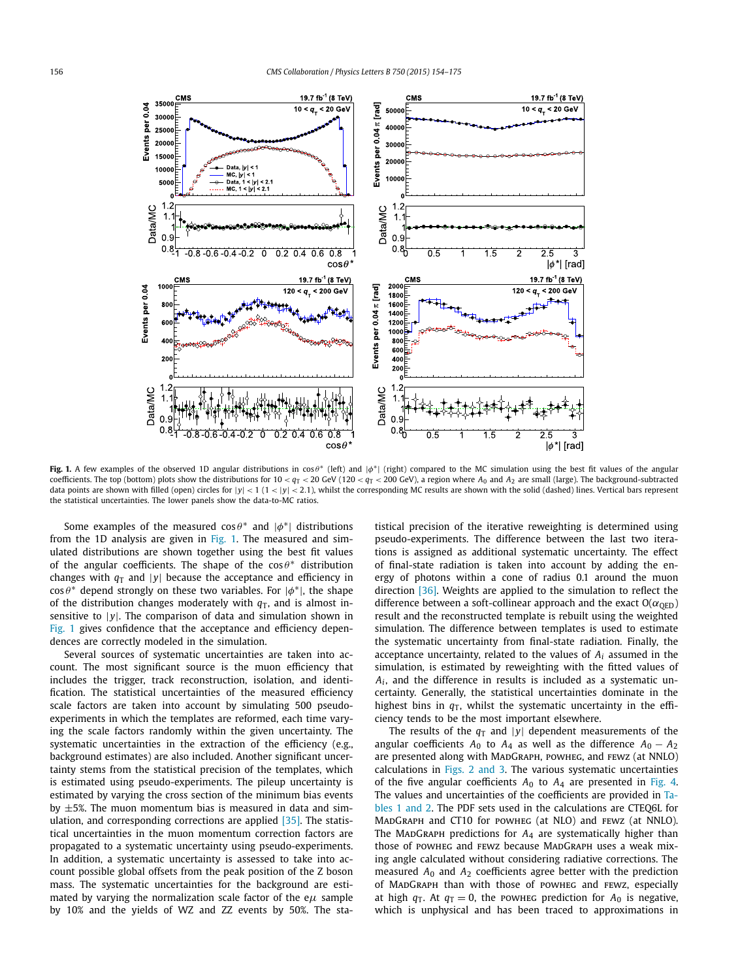

**Fig. 1.** A few examples of the observed 1D angular distributions in cos *θ*<sup>∗</sup> (left) and |*φ*∗| (right) compared to the MC simulation using the best fit values of the angular coefficients. The top (bottom) plots show the distributions for  $10 < q_T < 20$  GeV (120 <  $q_T < 200$  GeV), a region where  $A_0$  and  $A_2$  are small (large). The background-subtracted data points are shown with filled (open) circles for  $|y| < 1$  ( $1 < |y| < 2.1$ ), whilst the corresponding MC results are shown with the solid (dashed) lines. Vertical bars represent the statistical uncertainties. The lower panels show the data-to-MC ratios.

Some examples of the measured  $\cos \theta^*$  and  $|\phi^*|$  distributions from the 1D analysis are given in Fig. 1. The measured and simulated distributions are shown together using the best fit values of the angular coefficients. The shape of the  $\cos \theta^*$  distribution changes with  $q_T$  and |y| because the acceptance and efficiency in  $\cos \theta^*$  depend strongly on these two variables. For  $|\phi^*|$ , the shape of the distribution changes moderately with  $q<sub>T</sub>$ , and is almost insensitive to |*y*|. The comparison of data and simulation shown in Fig. 1 gives confidence that the acceptance and efficiency dependences are correctly modeled in the simulation.

Several sources of systematic uncertainties are taken into account. The most significant source is the muon efficiency that includes the trigger, track reconstruction, isolation, and identification. The statistical uncertainties of the measured efficiency scale factors are taken into account by simulating 500 pseudoexperiments in which the templates are reformed, each time varying the scale factors randomly within the given uncertainty. The systematic uncertainties in the extraction of the efficiency (e.g., background estimates) are also included. Another significant uncertainty stems from the statistical precision of the templates, which is estimated using pseudo-experiments. The pileup uncertainty is estimated by varying the cross section of the minimum bias events by  $\pm$ 5%. The muon momentum bias is measured in data and simulation, and corresponding corrections are applied [\[35\].](#page-7-0) The statistical uncertainties in the muon momentum correction factors are propagated to a systematic uncertainty using pseudo-experiments. In addition, a systematic uncertainty is assessed to take into account possible global offsets from the peak position of the Z boson mass. The systematic uncertainties for the background are estimated by varying the normalization scale factor of the e*μ* sample by 10% and the yields of WZ and ZZ events by 50%. The statistical precision of the iterative reweighting is determined using pseudo-experiments. The difference between the last two iterations is assigned as additional systematic uncertainty. The effect of final-state radiation is taken into account by adding the energy of photons within a cone of radius 0.1 around the muon direction [\[36\].](#page-7-0) Weights are applied to the simulation to reflect the difference between a soft-collinear approach and the exact  $O(\alpha_{\text{OED}})$ result and the reconstructed template is rebuilt using the weighted simulation. The difference between templates is used to estimate the systematic uncertainty from final-state radiation. Finally, the acceptance uncertainty, related to the values of *Ai* assumed in the simulation, is estimated by reweighting with the fitted values of *Ai* , and the difference in results is included as a systematic uncertainty. Generally, the statistical uncertainties dominate in the highest bins in  $q_T$ , whilst the systematic uncertainty in the efficiency tends to be the most important elsewhere.

The results of the  $q_T$  and |*y*| dependent measurements of the angular coefficients  $A_0$  to  $A_4$  as well as the difference  $A_0 - A_2$ are presented along with MADGRAPH, POWHEG, and FEWZ (at NNLO) calculations in [Figs. 2 and](#page-3-0) 3. The various systematic uncertainties of the five angular coefficients  $A_0$  to  $A_4$  are presented in [Fig. 4.](#page-4-0) The values and uncertainties of the coefficients are provided in [Ta](#page-5-0)[bles 1 and](#page-5-0) 2. The PDF sets used in the calculations are CTEQ6L for MadGraph and CT10 for powheg (at NLO) and fewz (at NNLO). The MADGRAPH predictions for  $A_4$  are systematically higher than those of powhec and FEWZ because MADGRAPH uses a weak mixing angle calculated without considering radiative corrections. The measured  $A_0$  and  $A_2$  coefficients agree better with the prediction of MADGRAPH than with those of POWHEG and FEWZ, especially at high  $q_T$ . At  $q_T = 0$ , the powheg prediction for  $A_0$  is negative, which is unphysical and has been traced to approximations in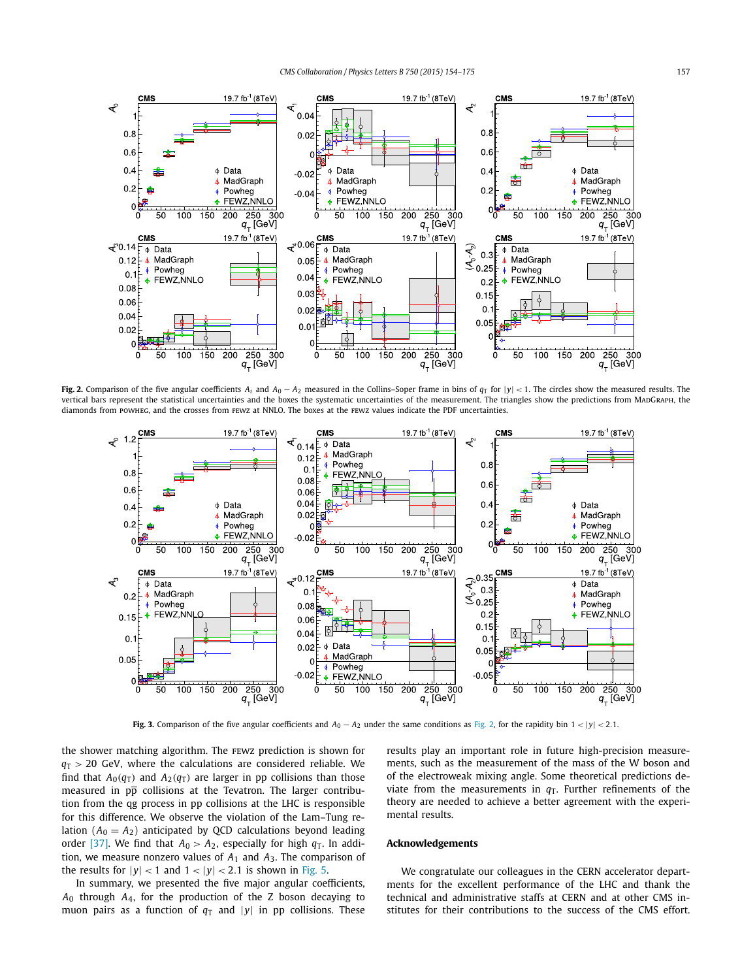<span id="page-3-0"></span>

**Fig. 2.** Comparison of the five angular coefficients  $A_i$  and  $A_0 - A_2$  measured in the Collins–Soper frame in bins of  $q_T$  for  $|y|$  < 1. The circles show the measured results. The vertical bars represent the statistical uncertainties and the boxes the systematic uncertainties of the measurement. The triangles show the predictions from MADGRAPH, the diamonds from powheg, and the crosses from fewz at NNLO. The boxes at the fewz values indicate the PDF uncertainties.



**Fig. 3.** Comparison of the five angular coefficients and  $A_0 - A_2$  under the same conditions as Fig. 2, for the rapidity bin  $1 < |y| < 2.1$ .

the shower matching algorithm. The fewz prediction is shown for  $q_T$  > 20 GeV, where the calculations are considered reliable. We find that  $A_0(q_T)$  and  $A_2(q_T)$  are larger in pp collisions than those measured in  $p\bar{p}$  collisions at the Tevatron. The larger contribution from the qg process in pp collisions at the LHC is responsible for this difference. We observe the violation of the Lam–Tung relation  $(A_0 = A_2)$  anticipated by QCD calculations beyond leading order [\[37\].](#page-7-0) We find that  $A_0 > A_2$ , especially for high  $q<sub>T</sub>$ . In addition, we measure nonzero values of  $A_1$  and  $A_3$ . The comparison of the results for  $|y| < 1$  and  $1 < |y| < 2.1$  is shown in [Fig. 5.](#page-5-0)

In summary, we presented the five major angular coefficients, *A*<sup>0</sup> through *A*4, for the production of the Z boson decaying to muon pairs as a function of  $q_T$  and |*y*| in pp collisions. These results play an important role in future high-precision measurements, such as the measurement of the mass of the W boson and of the electroweak mixing angle. Some theoretical predictions deviate from the measurements in  $q<sub>T</sub>$ . Further refinements of the theory are needed to achieve a better agreement with the experimental results.

#### **Acknowledgements**

We congratulate our colleagues in the CERN accelerator departments for the excellent performance of the LHC and thank the technical and administrative staffs at CERN and at other CMS institutes for their contributions to the success of the CMS effort.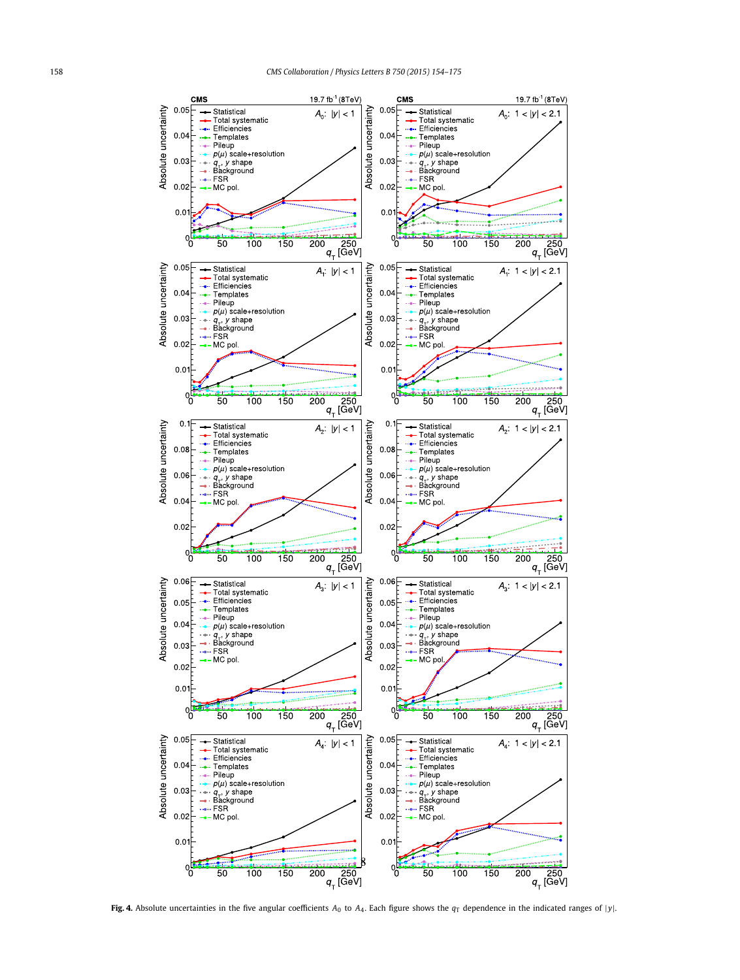<span id="page-4-0"></span>

**Fig. 4.** Absolute uncertainties in the five angular coefficients  $A_0$  to  $A_4$ . Each figure shows the  $q_T$  dependence in the indicated ranges of |y|.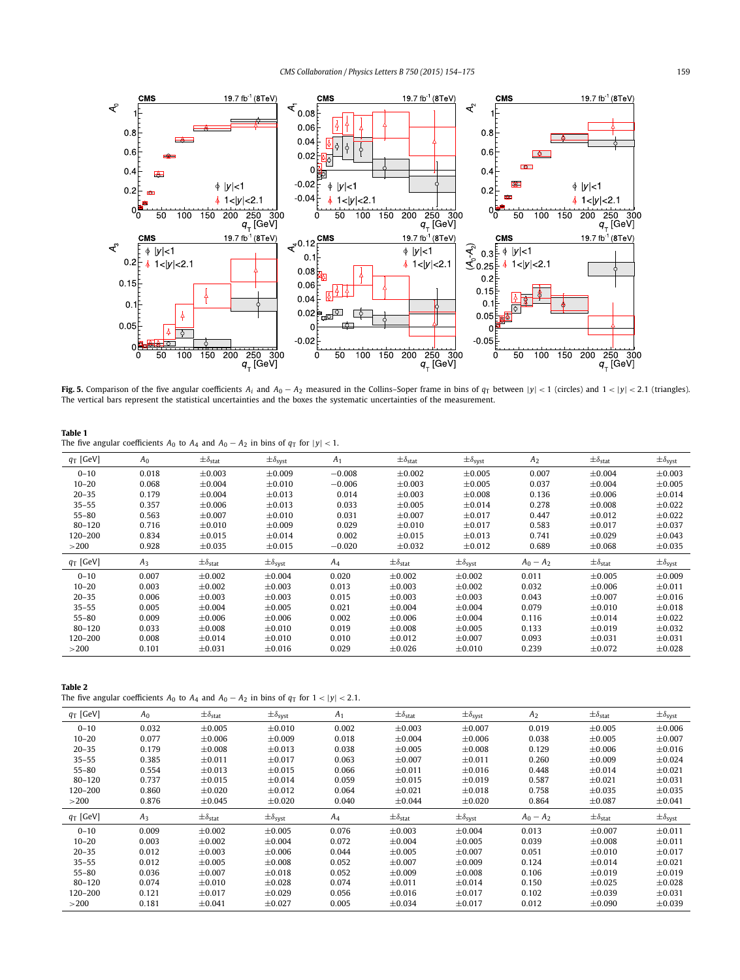<span id="page-5-0"></span>

Fig. 5. Comparison of the five angular coefficients  $A_i$  and  $A_0 - A_2$  measured in the Collins-Soper frame in bins of  $q_T$  between  $|y| < 1$  (circles) and  $1 < |y| < 2.1$  (triangles). The vertical bars represent the statistical uncertainties and the boxes the systematic uncertainties of the measurement.

| <b>Table 1</b> |                                                                                               |  |  |  |  |  |  |
|----------------|-----------------------------------------------------------------------------------------------|--|--|--|--|--|--|
|                | The five angular coefficients $A_0$ to $A_4$ and $A_0 - A_2$ in bins of $q_T$ for $ y  < 1$ . |  |  |  |  |  |  |

| $q_T$ [GeV] | A <sub>0</sub> | $\pm \delta_{\text{stat}}$ | $\pm\delta_{\text{syst}}$ | A <sub>1</sub> | $\pm \delta_{\text{stat}}$ | $\pm\delta_{\text{syst}}$ | A <sub>2</sub> | $\pm \delta_{stat}$        | $\pm\delta_{syst}$  |
|-------------|----------------|----------------------------|---------------------------|----------------|----------------------------|---------------------------|----------------|----------------------------|---------------------|
| $0 - 10$    | 0.018          | $\pm 0.003$                | $\pm 0.009$               | $-0.008$       | ±0.002                     | ±0.005                    | 0.007          | $\pm 0.004$                | ±0.003              |
| $10 - 20$   | 0.068          | $\pm 0.004$                | $\pm 0.010$               | $-0.006$       | ±0.003                     | ±0.005                    | 0.037          | $\pm 0.004$                | ±0.005              |
| $20 - 35$   | 0.179          | $\pm 0.004$                | ±0.013                    | 0.014          | ±0.003                     | $\pm 0.008$               | 0.136          | $\pm 0.006$                | $\pm 0.014$         |
| $35 - 55$   | 0.357          | $\pm 0.006$                | ±0.013                    | 0.033          | ±0.005                     | ±0.014                    | 0.278          | $\pm 0.008$                | ±0.022              |
| $55 - 80$   | 0.563          | $\pm 0.007$                | $\pm 0.010$               | 0.031          | ±0.007                     | ±0.017                    | 0.447          | $\pm 0.012$                | $\pm 0.022$         |
| $80 - 120$  | 0.716          | $\pm 0.010$                | ±0.009                    | 0.029          | $\pm 0.010$                | ±0.017                    | 0.583          | $\pm 0.017$                | ±0.037              |
| 120-200     | 0.834          | ±0.015                     | $\pm 0.014$               | 0.002          | ±0.015                     | $\pm 0.013$               | 0.741          | $\pm 0.029$                | $\pm 0.043$         |
| >200        | 0.928          | ±0.035                     | ±0.015                    | $-0.020$       | ±0.032                     | ±0.012                    | 0.689          | $\pm 0.068$                | $\pm 0.035$         |
|             |                |                            |                           |                |                            |                           |                |                            |                     |
| $q_T$ [GeV] | $A_3$          | $\pm \delta_{\text{stat}}$ | $\pm\delta_{\text{syst}}$ | $A_4$          | $\pm \delta_{\text{stat}}$ | $\pm\delta_{\text{syst}}$ | $A_0 - A_2$    | $\pm \delta_{\text{stat}}$ | $\pm \delta_{syst}$ |
| $0 - 10$    | 0.007          | $\pm 0.002$                | $\pm 0.004$               | 0.020          | $\pm 0.002$                | $\pm 0.002$               | 0.011          | ±0.005                     | $\pm 0.009$         |
| $10 - 20$   | 0.003          | $\pm 0.002$                | $\pm 0.003$               | 0.013          | ±0.003                     | $\pm 0.002$               | 0.032          | ±0.006                     | ±0.011              |
| $20 - 35$   | 0.006          | $\pm 0.003$                | $\pm 0.003$               | 0.015          | $\pm 0.003$                | $\pm 0.003$               | 0.043          | $\pm 0.007$                | ±0.016              |
| $35 - 55$   | 0.005          | $\pm 0.004$                | $\pm 0.005$               | 0.021          | $\pm 0.004$                | $\pm 0.004$               | 0.079          | ±0.010                     | $\pm 0.018$         |
| $55 - 80$   | 0.009          | ±0.006                     | $\pm 0.006$               | 0.002          | ±0.006                     | $\pm 0.004$               | 0.116          | $\pm 0.014$                | $\pm 0.022$         |
| $80 - 120$  | 0.033          | ±0.008                     | $\pm 0.010$               | 0.019          | $\pm 0.008$                | ±0.005                    | 0.133          | ±0.019                     | $\pm 0.032$         |
| 120-200     | 0.008          | ±0.014                     | $\pm 0.010$               | 0.010          | $\pm 0.012$                | $\pm 0.007$               | 0.093          | ±0.031                     | ±0.031              |

**Table 2**

The five angular coefficients  $A_0$  to  $A_4$  and  $A_0 - A_2$  in bins of  $q_T$  for  $1 < |y| < 2.1$ .

| $q_T$ [GeV] | A <sub>0</sub> | $\pm\delta_{\text{stat}}$  | $\pm\delta_{\text{syst}}$ | A <sub>1</sub> | $\pm\delta$ stat          | $\pm\delta_{\text{syst}}$ | A <sub>2</sub> | $\pm\delta_{\rm stat}$     | $\pm\delta_{syst}$  |
|-------------|----------------|----------------------------|---------------------------|----------------|---------------------------|---------------------------|----------------|----------------------------|---------------------|
| $0 - 10$    | 0.032          | ±0.005                     | $\pm 0.010$               | 0.002          | $\pm 0.003$               | $\pm 0.007$               | 0.019          | $\pm 0.005$                | ±0.006              |
| $10 - 20$   | 0.077          | ±0.006                     | ±0.009                    | 0.018          | $\pm 0.004$               | ±0.006                    | 0.038          | ±0.005                     | ±0.007              |
| $20 - 35$   | 0.179          | $\pm 0.008$                | $\pm 0.013$               | 0.038          | $\pm 0.005$               | $\pm 0.008$               | 0.129          | ±0.006                     | ±0.016              |
| $35 - 55$   | 0.385          | ±0.011                     | ±0.017                    | 0.063          | $\pm 0.007$               | ±0.011                    | 0.260          | ±0.009                     | $\pm 0.024$         |
| $55 - 80$   | 0.554          | ±0.013                     | ±0.015                    | 0.066          | ±0.011                    | $\pm 0.016$               | 0.448          | ±0.014                     | ±0.021              |
| 80-120      | 0.737          | ±0.015                     | $\pm 0.014$               | 0.059          | $\pm 0.015$               | $\pm 0.019$               | 0.587          | ±0.021                     | ±0.031              |
| 120-200     | 0.860          | ±0.020                     | $\pm 0.012$               | 0.064          | $\pm 0.021$               | $\pm 0.018$               | 0.758          | ±0.035                     | ±0.035              |
| >200        | 0.876          | ±0.045                     | $\pm 0.020$               | 0.040          | $\pm 0.044$               | $\pm 0.020$               | 0.864          | $\pm 0.087$                | ±0.041              |
|             |                |                            |                           |                |                           |                           |                |                            |                     |
| $q_T$ [GeV] | $A_3$          | $\pm \delta_{\text{stat}}$ | $\pm\delta_{\text{syst}}$ | $A_4$          | $\pm\delta_{\text{stat}}$ | $\pm\delta_{\text{syst}}$ | $A_0 - A_2$    | $\pm \delta_{\text{stat}}$ | $\pm \delta_{syst}$ |
| $0 - 10$    | 0.009          | $\pm 0.002$                | $\pm 0.005$               | 0.076          | ±0.003                    | $\pm 0.004$               | 0.013          | $\pm 0.007$                | ±0.011              |
| $10 - 20$   | 0.003          | $\pm 0.002$                | $\pm 0.004$               | 0.072          | $\pm 0.004$               | ±0.005                    | 0.039          | $\pm 0.008$                | ±0.011              |
| $20 - 35$   | 0.012          | $\pm 0.003$                | ±0.006                    | 0.044          | $\pm 0.005$               | ±0.007                    | 0.051          | ±0.010                     | $\pm 0.017$         |
| $35 - 55$   | 0.012          | ±0.005                     | $\pm 0.008$               | 0.052          | ±0.007                    | ±0.009                    | 0.124          | $\pm 0.014$                | ±0.021              |
| $55 - 80$   | 0.036          | ±0.007                     | $\pm 0.018$               | 0.052          | $+0.009$                  | $\pm 0.008$               | 0.106          | $\pm 0.019$                | ±0.019              |
| 80-120      | 0.074          | ±0.010                     | $\pm 0.028$               | 0.074          | ±0.011                    | $\pm 0.014$               | 0.150          | $\pm 0.025$                | $\pm 0.028$         |
| 120-200     | 0.121          | ±0.017                     | $\pm 0.029$               | 0.056          | ±0.016                    | ±0.017                    | 0.102          | ±0.039                     | ±0.031              |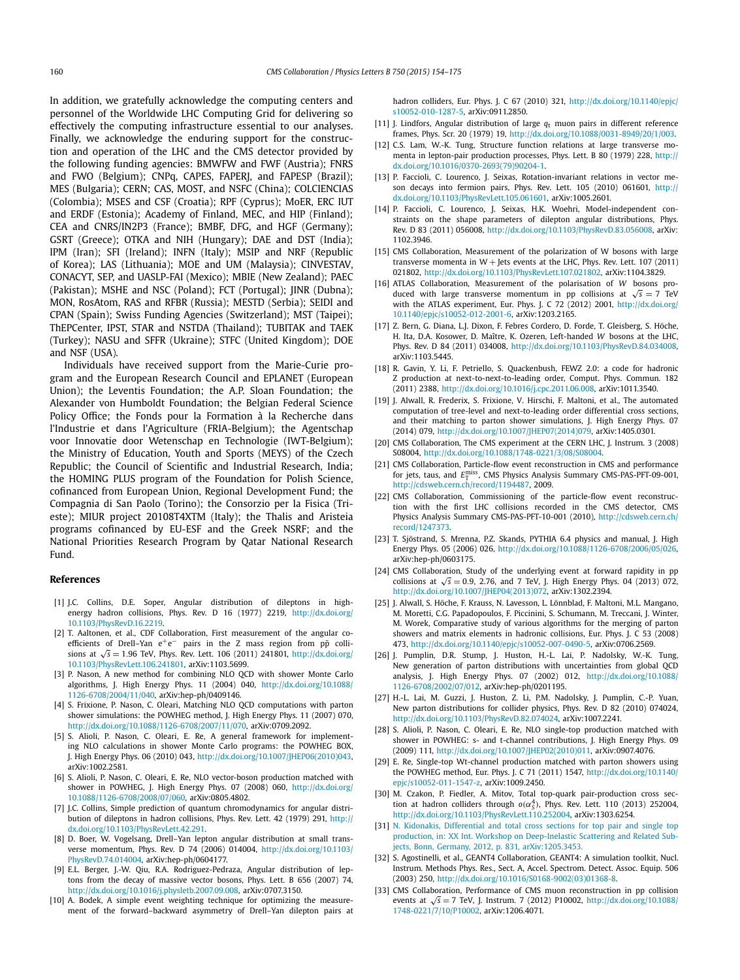<span id="page-6-0"></span>In addition, we gratefully acknowledge the computing centers and personnel of the Worldwide LHC Computing Grid for delivering so effectively the computing infrastructure essential to our analyses. Finally, we acknowledge the enduring support for the construction and operation of the LHC and the CMS detector provided by the following funding agencies: BMWFW and FWF (Austria); FNRS and FWO (Belgium); CNPq, CAPES, FAPERJ, and FAPESP (Brazil); MES (Bulgaria); CERN; CAS, MOST, and NSFC (China); COLCIENCIAS (Colombia); MSES and CSF (Croatia); RPF (Cyprus); MoER, ERC IUT and ERDF (Estonia); Academy of Finland, MEC, and HIP (Finland); CEA and CNRS/IN2P3 (France); BMBF, DFG, and HGF (Germany); GSRT (Greece); OTKA and NIH (Hungary); DAE and DST (India); IPM (Iran); SFI (Ireland); INFN (Italy); MSIP and NRF (Republic of Korea); LAS (Lithuania); MOE and UM (Malaysia); CINVESTAV, CONACYT, SEP, and UASLP-FAI (Mexico); MBIE (New Zealand); PAEC (Pakistan); MSHE and NSC (Poland); FCT (Portugal); JINR (Dubna); MON, RosAtom, RAS and RFBR (Russia); MESTD (Serbia); SEIDI and CPAN (Spain); Swiss Funding Agencies (Switzerland); MST (Taipei); ThEPCenter, IPST, STAR and NSTDA (Thailand); TUBITAK and TAEK (Turkey); NASU and SFFR (Ukraine); STFC (United Kingdom); DOE and NSF (USA).

Individuals have received support from the Marie-Curie program and the European Research Council and EPLANET (European Union); the Leventis Foundation; the A.P. Sloan Foundation; the Alexander von Humboldt Foundation; the Belgian Federal Science Policy Office; the Fonds pour la Formation à la Recherche dans l'Industrie et dans l'Agriculture (FRIA-Belgium); the Agentschap voor Innovatie door Wetenschap en Technologie (IWT-Belgium); the Ministry of Education, Youth and Sports (MEYS) of the Czech Republic; the Council of Scientific and Industrial Research, India; the HOMING PLUS program of the Foundation for Polish Science, cofinanced from European Union, Regional Development Fund; the Compagnia di San Paolo (Torino); the Consorzio per la Fisica (Trieste); MIUR project 20108T4XTM (Italy); the Thalis and Aristeia programs cofinanced by EU-ESF and the Greek NSRF; and the National Priorities Research Program by Qatar National Research Fund.

#### **References**

- [1] J.C. Collins, D.E. Soper, Angular distribution of dileptons in highenergy hadron collisions, Phys. Rev. D 16 (1977) 2219, [http://dx.doi.org/](http://dx.doi.org/10.1103/PhysRevD.16.2219) [10.1103/PhysRevD.16.2219](http://dx.doi.org/10.1103/PhysRevD.16.2219).
- [2] T. Aaltonen, et al., CDF Collaboration, First measurement of the angular coefficients of Drell–Yan  $e^+e^-$  pairs in the Z mass region from pp collisions at <sup>√</sup>*<sup>s</sup>* <sup>=</sup> <sup>1</sup>*.*96 TeV, Phys. Rev. Lett. <sup>106</sup> (2011) 241801, [http://dx.doi.org/](http://dx.doi.org/10.1103/PhysRevLett.106.241801) [10.1103/PhysRevLett.106.241801,](http://dx.doi.org/10.1103/PhysRevLett.106.241801) arXiv:1103.5699.
- [3] P. Nason, A new method for combining NLO QCD with shower Monte Carlo algorithms, J. High Energy Phys. 11 (2004) 040, [http://dx.doi.org/10.1088/](http://dx.doi.org/10.1088/1126-6708/2004/11/040) [1126-6708/2004/11/040](http://dx.doi.org/10.1088/1126-6708/2004/11/040), arXiv:hep-ph/0409146.
- [4] S. Frixione, P. Nason, C. Oleari, Matching NLO QCD computations with parton shower simulations: the POWHEG method, J. High Energy Phys. 11 (2007) 070, <http://dx.doi.org/10.1088/1126-6708/2007/11/070>, arXiv:0709.2092.
- [5] S. Alioli, P. Nason, C. Oleari, E. Re, A general framework for implementing NLO calculations in shower Monte Carlo programs: the POWHEG BOX, J. High Energy Phys. 06 (2010) 043, [http://dx.doi.org/10.1007/JHEP06\(2010\)043](http://dx.doi.org/10.1007/JHEP06(2010)043), arXiv:1002.2581.
- [6] S. Alioli, P. Nason, C. Oleari, E. Re, NLO vector-boson production matched with shower in POWHEG, J. High Energy Phys. 07 (2008) 060, [http://dx.doi.org/](http://dx.doi.org/10.1088/1126-6708/2008/07/060) [10.1088/1126-6708/2008/07/060,](http://dx.doi.org/10.1088/1126-6708/2008/07/060) arXiv:0805.4802.
- [7] J.C. Collins, Simple prediction of quantum chromodynamics for angular distribution of dileptons in hadron collisions, Phys. Rev. Lett. 42 (1979) 291, [http://](http://dx.doi.org/10.1103/PhysRevLett.42.291) [dx.doi.org/10.1103/PhysRevLett.42.291.](http://dx.doi.org/10.1103/PhysRevLett.42.291)
- [8] D. Boer, W. Vogelsang, Drell–Yan lepton angular distribution at small transverse momentum, Phys. Rev. D 74 (2006) 014004, [http://dx.doi.org/10.1103/](http://dx.doi.org/10.1103/PhysRevD.74.014004) [PhysRevD.74.014004,](http://dx.doi.org/10.1103/PhysRevD.74.014004) arXiv:hep-ph/0604177.
- [9] E.L. Berger, J.-W. Qiu, R.A. Rodriguez-Pedraza, Angular distribution of leptons from the decay of massive vector bosons, Phys. Lett. B 656 (2007) 74, [http://dx.doi.org/10.1016/j.physletb.2007.09.008,](http://dx.doi.org/10.1016/j.physletb.2007.09.008) arXiv:0707.3150.
- [10] A. Bodek, A simple event weighting technique for optimizing the measurement of the forward–backward asymmetry of Drell–Yan dilepton pairs at

hadron colliders, Eur. Phys. J. C 67 (2010) 321, [http://dx.doi.org/10.1140/epjc/](http://dx.doi.org/10.1140/epjc/s10052-010-1287-5) [s10052-010-1287-5](http://dx.doi.org/10.1140/epjc/s10052-010-1287-5), arXiv:0911.2850.

- [11] J. Lindfors, Angular distribution of large *q*<sup>t</sup> muon pairs in different reference frames, Phys. Scr. 20 (1979) 19, [http://dx.doi.org/10.1088/0031-8949/20/1/003.](http://dx.doi.org/10.1088/0031-8949/20/1/003)
- [12] C.S. Lam, W.-K. Tung, Structure function relations at large transverse momenta in lepton-pair production processes, Phys. Lett. B 80 (1979) 228, [http://](http://dx.doi.org/10.1016/0370-2693(79)90204-1) [dx.doi.org/10.1016/0370-2693\(79\)90204-1](http://dx.doi.org/10.1016/0370-2693(79)90204-1).
- [13] P. Faccioli, C. Lourenco, J. Seixas, Rotation-invariant relations in vector meson decays into fermion pairs, Phys. Rev. Lett. 105 (2010) 061601, [http://](http://dx.doi.org/10.1103/PhysRevLett.105.061601) [dx.doi.org/10.1103/PhysRevLett.105.061601](http://dx.doi.org/10.1103/PhysRevLett.105.061601), arXiv:1005.2601.
- [14] P. Faccioli, C. Lourenco, J. Seixas, H.K. Woehri, Model-independent constraints on the shape parameters of dilepton angular distributions, Phys. Rev. D 83 (2011) 056008, <http://dx.doi.org/10.1103/PhysRevD.83.056008>, arXiv: 1102.3946.
- [15] CMS Collaboration, Measurement of the polarization of W bosons with large transverse momenta in  $W +$  Jets events at the LHC, Phys. Rev. Lett. 107 (2011) 021802, [http://dx.doi.org/10.1103/PhysRevLett.107.021802,](http://dx.doi.org/10.1103/PhysRevLett.107.021802) arXiv:1104.3829.
- [16] ATLAS Collaboration, Measurement of the polarisation of *W* bosons produced with large transverse momentum in pp collisions at  $\sqrt{s} = 7$  TeV with the ATLAS experiment, Eur. Phys. J. C 72 (2012) 2001, [http://dx.doi.org/](http://dx.doi.org/10.1140/epjc/s10052-012-2001-6) [10.1140/epjc/s10052-012-2001-6,](http://dx.doi.org/10.1140/epjc/s10052-012-2001-6) arXiv:1203.2165.
- [17] Z. Bern, G. Diana, L.J. Dixon, F. Febres Cordero, D. Forde, T. Gleisberg, S. Höche, H. Ita, D.A. Kosower, D. Maître, K. Ozeren, Left-handed *W* bosons at the LHC, Phys. Rev. D 84 (2011) 034008, <http://dx.doi.org/10.1103/PhysRevD.84.034008>, arXiv:1103.5445.
- [18] R. Gavin, Y. Li, F. Petriello, S. Quackenbush, FEWZ 2.0: a code for hadronic Z production at next-to-next-to-leading order, Comput. Phys. Commun. 182 (2011) 2388, <http://dx.doi.org/10.1016/j.cpc.2011.06.008>, arXiv:1011.3540.
- [19] J. Alwall, R. Frederix, S. Frixione, V. Hirschi, F. Maltoni, et al., The automated computation of tree-level and next-to-leading order differential cross sections, and their matching to parton shower simulations, J. High Energy Phys. 07 (2014) 079, [http://dx.doi.org/10.1007/JHEP07\(2014\)079,](http://dx.doi.org/10.1007/JHEP07(2014)079) arXiv:1405.0301.
- [20] CMS Collaboration, The CMS experiment at the CERN LHC, I. Instrum, 3 (2008) S08004, <http://dx.doi.org/10.1088/1748-0221/3/08/S08004>.
- [21] CMS Collaboration, Particle-flow event reconstruction in CMS and performance for jets, taus, and  $E_T^{\text{miss}}$ , CMS Physics Analysis Summary CMS-PAS-PFT-09-001, <http://cdsweb.cern.ch/record/1194487>, 2009.
- [22] CMS Collaboration, Commissioning of the particle-flow event reconstruction with the first LHC collisions recorded in the CMS detector, CMS Physics Analysis Summary CMS-PAS-PFT-10-001 (2010), [http://cdsweb.cern.ch/](http://cdsweb.cern.ch/record/1247373) [record/1247373](http://cdsweb.cern.ch/record/1247373).
- [23] T. Sjöstrand, S. Mrenna, P.Z. Skands, PYTHIA 6.4 physics and manual, J. High Energy Phys. 05 (2006) 026, <http://dx.doi.org/10.1088/1126-6708/2006/05/026>, arXiv:hep-ph/0603175.
- [24] CMS Collaboration, Study of the underlying event at forward rapidity in pp collisions at  $\sqrt{s}$  = 0.9, 2.76, and 7 TeV, J. High Energy Phys. 04 (2013) 072, [http://dx.doi.org/10.1007/JHEP04\(2013\)072](http://dx.doi.org/10.1007/JHEP04(2013)072), arXiv:1302.2394.
- [25] J. Alwall, S. Höche, F. Krauss, N. Lavesson, L. Lönnblad, F. Maltoni, M.L. Mangano, M. Moretti, C.G. Papadopoulos, F. Piccinini, S. Schumann, M. Treccani, J. Winter, M. Worek, Comparative study of various algorithms for the merging of parton showers and matrix elements in hadronic collisions, Eur. Phys. J. C 53 (2008) 473, <http://dx.doi.org/10.1140/epjc/s10052-007-0490-5>, arXiv:0706.2569.
- [26] J. Pumplin, D.R. Stump, J. Huston, H.-L. Lai, P. Nadolsky, W.-K. Tung, New generation of parton distributions with uncertainties from global QCD analysis, J. High Energy Phys. 07 (2002) 012, [http://dx.doi.org/10.1088/](http://dx.doi.org/10.1088/1126-6708/2002/07/012) [1126-6708/2002/07/012](http://dx.doi.org/10.1088/1126-6708/2002/07/012), arXiv:hep-ph/0201195.
- [27] H.-L. Lai, M. Guzzi, J. Huston, Z. Li, P.M. Nadolsky, J. Pumplin, C.-P. Yuan, New parton distributions for collider physics, Phys. Rev. D 82 (2010) 074024, <http://dx.doi.org/10.1103/PhysRevD.82.074024>, arXiv:1007.2241.
- [28] S. Alioli, P. Nason, C. Oleari, E. Re, NLO single-top production matched with shower in POWHEG: s- and t-channel contributions, J. High Energy Phys. 09 (2009) 111, [http://dx.doi.org/10.1007/JHEP02\(2010\)011](http://dx.doi.org/10.1007/JHEP02(2010)011), arXiv:0907.4076.
- [29] E. Re, Single-top Wt-channel production matched with parton showers using the POWHEG method, Eur. Phys. J. C 71 (2011) 1547, [http://dx.doi.org/10.1140/](http://dx.doi.org/10.1140/epjc/s10052-011-1547-z) [epjc/s10052-011-1547-z,](http://dx.doi.org/10.1140/epjc/s10052-011-1547-z) arXiv:1009.2450.
- [30] M. Czakon, P. Fiedler, A. Mitov, Total top-quark pair-production cross section at hadron colliders through  $o(\alpha_S^4)$ , Phys. Rev. Lett. 110 (2013) 252004, <http://dx.doi.org/10.1103/PhysRevLett.110.252004>, arXiv:1303.6254.
- [31] N. Kidonakis, [Differential](http://refhub.elsevier.com/S0370-2693(15)00662-0/bib4B69646F6E616B69733A323031326462s1) and total cross sections for top pair and single top production, in: XX Int. Workshop on [Deep-Inelastic](http://refhub.elsevier.com/S0370-2693(15)00662-0/bib4B69646F6E616B69733A323031326462s1) Scattering and Related Subjects, Bonn, Germany, 2012, p. 831, [arXiv:1205.3453.](http://refhub.elsevier.com/S0370-2693(15)00662-0/bib4B69646F6E616B69733A323031326462s1)
- [32] S. Agostinelli, et al., GEANT4 Collaboration, GEANT4: A simulation toolkit, Nucl. Instrum. Methods Phys. Res., Sect. A, Accel. Spectrom. Detect. Assoc. Equip. 506 (2003) 250, [http://dx.doi.org/10.1016/S0168-9002\(03\)01368-8](http://dx.doi.org/10.1016/S0168-9002(03)01368-8).
- [33] CMS Collaboration, Performance of CMS muon reconstruction in pp collision events at <sup>√</sup>*<sup>s</sup>* <sup>=</sup> 7 TeV, J. Instrum. <sup>7</sup> (2012) P10002, [http://dx.doi.org/10.1088/](http://dx.doi.org/10.1088/1748-0221/7/10/P10002) [1748-0221/7/10/P10002](http://dx.doi.org/10.1088/1748-0221/7/10/P10002), arXiv:1206.4071.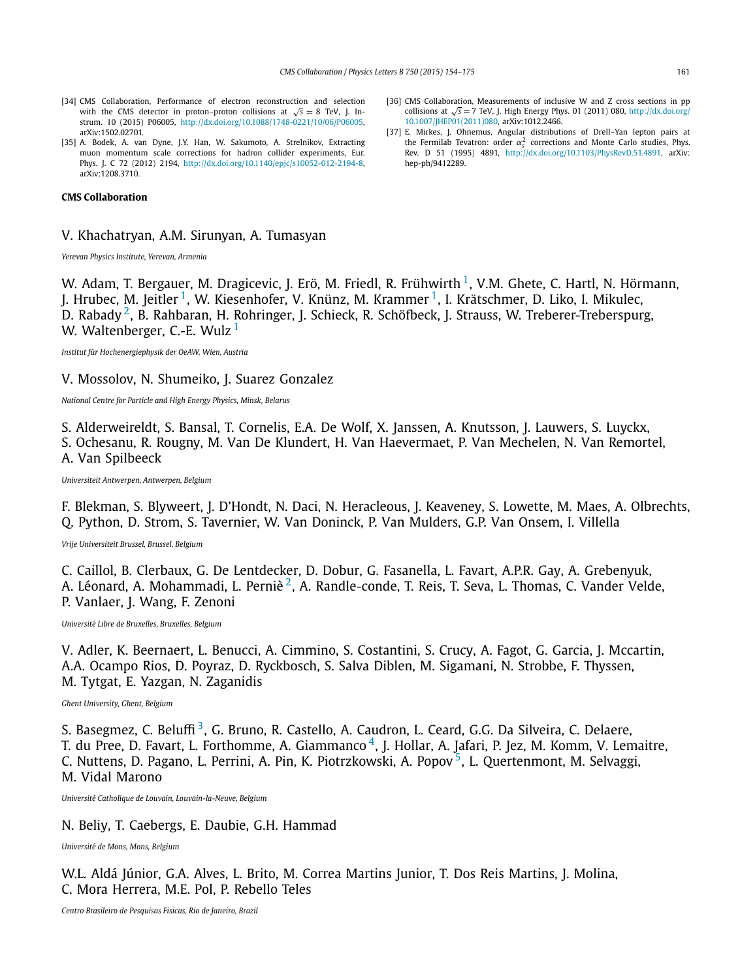- <span id="page-7-0"></span>[34] CMS Collaboration, Performance of electron reconstruction and selection with the CMS detector in proton–proton collisions at  $\sqrt{s} = 8$  TeV, J. Instrum. 10 (2015) P06005, [http://dx.doi.org/10.1088/1748-0221/10/06/P06005,](http://dx.doi.org/10.1088/1748-0221/10/06/P06005) arXiv:1502.02701.
- [35] A. Bodek, A. van Dyne, J.Y. Han, W. Sakumoto, A. Strelnikov, Extracting muon momentum scale corrections for hadron collider experiments, Eur. Phys. J. C 72 (2012) 2194, [http://dx.doi.org/10.1140/epjc/s10052-012-2194-8,](http://dx.doi.org/10.1140/epjc/s10052-012-2194-8) arXiv:1208.3710.

#### **CMS Collaboration**

#### V. Khachatryan, A.M. Sirunyan, A. Tumasyan

*Yerevan Physics Institute, Yerevan, Armenia*

W. Adam, T. Bergauer, M. Dragicevic, J. Erö, M. Friedl, R. Frühwirth <sup>1</sup>, V.M. Ghete, C. Hartl, N. Hörmann, J. Hrubec, M. Jeitler<sup>1</sup>, W. Kiesenhofer, V. Knünz, M. Krammer<sup>1</sup>, I. Krätschmer, D. Liko, I. Mikulec, D. Rabady<sup>2</sup>, B. Rahbaran, H. Rohringer, J. Schieck, R. Schöfbeck, J. Strauss, W. Treberer-Treberspurg, W. Waltenberger, C.-E. Wulz<sup>[1](#page-20-0)</sup>

*Institut für Hochenergiephysik der OeAW, Wien, Austria*

V. Mossolov, N. Shumeiko, J. Suarez Gonzalez

*National Centre for Particle and High Energy Physics, Minsk, Belarus*

S. Alderweireldt, S. Bansal, T. Cornelis, E.A. De Wolf, X. Janssen, A. Knutsson, J. Lauwers, S. Luyckx, S. Ochesanu, R. Rougny, M. Van De Klundert, H. Van Haevermaet, P. Van Mechelen, N. Van Remortel, A. Van Spilbeeck

*Universiteit Antwerpen, Antwerpen, Belgium*

F. Blekman, S. Blyweert, J. D'Hondt, N. Daci, N. Heracleous, J. Keaveney, S. Lowette, M. Maes, A. Olbrechts, Q. Python, D. Strom, S. Tavernier, W. Van Doninck, P. Van Mulders, G.P. Van Onsem, I. Villella

*Vrije Universiteit Brussel, Brussel, Belgium*

C. Caillol, B. Clerbaux, G. De Lentdecker, D. Dobur, G. Fasanella, L. Favart, A.P.R. Gay, A. Grebenyuk, A. Léonard, A. Mohammadi, L. Perniè<sup>2</sup>, A. Randle-conde, T. Reis, T. Seva, L. Thomas, C. Vander Velde, P. Vanlaer, J. Wang, F. Zenoni

*Université Libre de Bruxelles, Bruxelles, Belgium*

V. Adler, K. Beernaert, L. Benucci, A. Cimmino, S. Costantini, S. Crucy, A. Fagot, G. Garcia, J. Mccartin, A.A. Ocampo Rios, D. Poyraz, D. Ryckbosch, S. Salva Diblen, M. Sigamani, N. Strobbe, F. Thyssen, M. Tytgat, E. Yazgan, N. Zaganidis

*Ghent University, Ghent, Belgium*

S. Basegmez, C. Beluffi<sup>3</sup>, G. Bruno, R. Castello, A. Caudron, L. Ceard, G.G. Da Silveira, C. Delaere, T. du Pree, D. Favart, L. Forthomme, A. Giammanco<sup>4</sup>, J. Hollar, A. Jafari, P. Jez, M. Komm, V. Lemaitre, C. Nuttens, D. Pagano, L. Perrini, A. Pin, K. Piotrzkowski, A. Popov<sup>5</sup>, L. Quertenmont, M. Selvaggi, M. Vidal Marono

*Université Catholique de Louvain, Louvain-la-Neuve, Belgium*

N. Beliy, T. Caebergs, E. Daubie, G.H. Hammad

*Université de Mons, Mons, Belgium*

W.L. Aldá Júnior, G.A. Alves, L. Brito, M. Correa Martins Junior, T. Dos Reis Martins, J. Molina, C. Mora Herrera, M.E. Pol, P. Rebello Teles

- [36] CMS Collaboration, Measurements of inclusive W and Z cross sections in pp. collisions at  $\sqrt{s}$  = 7 TeV, J. High Energy Phys. 01 (2011) 080, [http://dx.doi.org/](http://dx.doi.org/10.1007/JHEP01(2011)080) [10.1007/JHEP01\(2011\)080](http://dx.doi.org/10.1007/JHEP01(2011)080), arXiv:1012.2466.
- [37] E. Mirkes, J. Ohnemus, Angular distributions of Drell–Yan lepton pairs at the Fermilab Tevatron: order  $\alpha_s^2$  corrections and Monte Carlo studies, Phys. Rev. D 51 (1995) 4891, [http://dx.doi.org/10.1103/PhysRevD.51.4891,](http://dx.doi.org/10.1103/PhysRevD.51.4891) arXiv: hep-ph/9412289.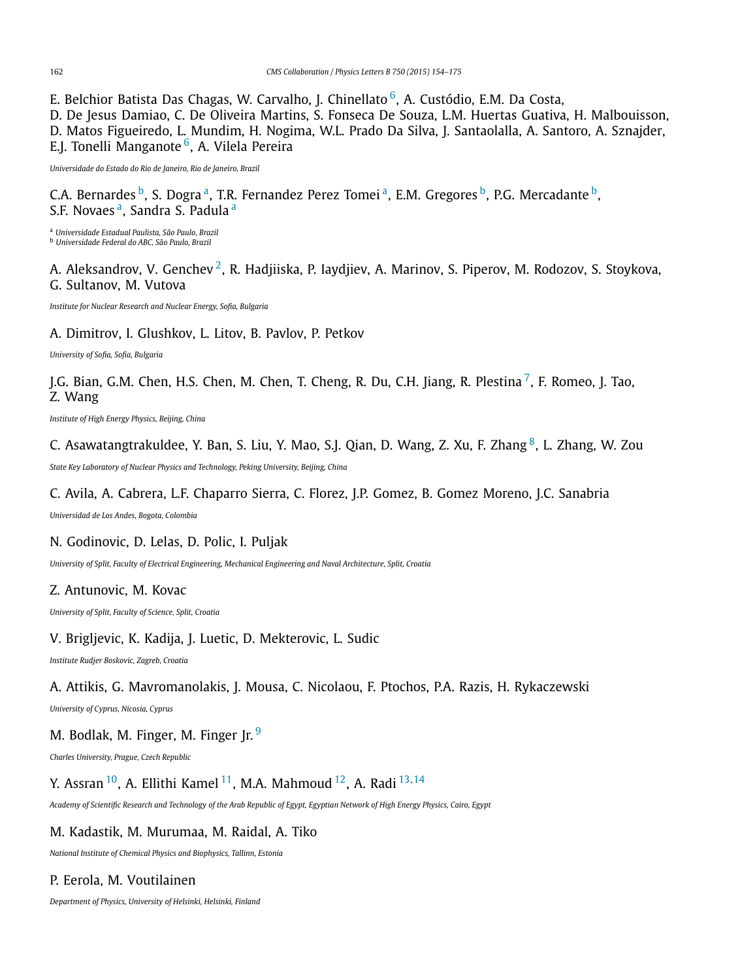E. Belchior Batista Das Chagas, W. Carvalho, J. Chinellato<sup>6</sup>, A. Custódio, E.M. Da Costa,

D. De Jesus Damiao, C. De Oliveira Martins, S. Fonseca De Souza, L.M. Huertas Guativa, H. Malbouisson, D. Matos Figueiredo, L. Mundim, H. Nogima, W.L. Prado Da Silva, J. Santaolalla, A. Santoro, A. Sznajder, E.J. Tonelli Manganote<sup>6</sup>, A. Vilela Pereira

*Universidade do Estado do Rio de Janeiro, Rio de Janeiro, Brazil*

C.A. Bernardes <sup>b</sup>, S. Dogra<sup>a</sup>, T.R. Fernandez Perez Tomei<sup>a</sup>, E.M. Gregores <sup>b</sup>, P.G. Mercadante <sup>b</sup>. S.F. Novaes<sup>a</sup>, Sandra S. Padula<sup>a</sup>

<sup>a</sup> *Universidade Estadual Paulista, São Paulo, Brazil* <sup>b</sup> *Universidade Federal do ABC, São Paulo, Brazil*

A. Aleksandrov, V. Genchev<sup>2</sup>, R. Hadjiiska, P. Iaydjiev, A. Marinov, S. Piperov, M. Rodozov. S. Stovkova. G. Sultanov, M. Vutova

*Institute for Nuclear Research and Nuclear Energy, Sofia, Bulgaria*

A. Dimitrov, I. Glushkov, L. Litov, B. Pavlov, P. Petkov

*University of Sofia, Sofia, Bulgaria*

J.G. Bian, G.M. Chen, H.S. Chen, M. Chen, T. Cheng, R. Du, C.H. Jiang, R. Plestina<sup>7</sup>, F. Romeo, J. Tao, Z. Wang

*Institute of High Energy Physics, Beijing, China*

#### C. Asawatangtrakuldee, Y. Ban, S. Liu, Y. Mao, S.J. Qian, D. Wang, Z. Xu, F. Zhang [8,](#page-21-0) L. Zhang, W. Zou

*State Key Laboratory of Nuclear Physics and Technology, Peking University, Beijing, China*

#### C. Avila, A. Cabrera, L.F. Chaparro Sierra, C. Florez, J.P. Gomez, B. Gomez Moreno, J.C. Sanabria

*Universidad de Los Andes, Bogota, Colombia*

## N. Godinovic, D. Lelas, D. Polic, I. Puljak

*University of Split, Faculty of Electrical Engineering, Mechanical Engineering and Naval Architecture, Split, Croatia*

## Z. Antunovic, M. Kovac

*University of Split, Faculty of Science, Split, Croatia*

#### V. Brigljevic, K. Kadija, J. Luetic, D. Mekterovic, L. Sudic

*Institute Rudjer Boskovic, Zagreb, Croatia*

## A. Attikis, G. Mavromanolakis, J. Mousa, C. Nicolaou, F. Ptochos, P.A. Razis, H. Rykaczewski

*University of Cyprus, Nicosia, Cyprus*

M. Bodlak, M. Finger, M. Finger Jr. [9](#page-21-0)

*Charles University, Prague, Czech Republic*

# Y. Assran [10,](#page-21-0) A. Ellithi Kamel [11,](#page-21-0) M.A. Mahmoud [12,](#page-21-0) A. Radi [13](#page-21-0)*,*[14](#page-21-0)

Academy of Scientific Research and Technology of the Arab Republic of Egypt, Egyptian Network of High Energy Physics, Cairo, Egypt

# M. Kadastik, M. Murumaa, M. Raidal, A. Tiko

*National Institute of Chemical Physics and Biophysics, Tallinn, Estonia*

# P. Eerola, M. Voutilainen

*Department of Physics, University of Helsinki, Helsinki, Finland*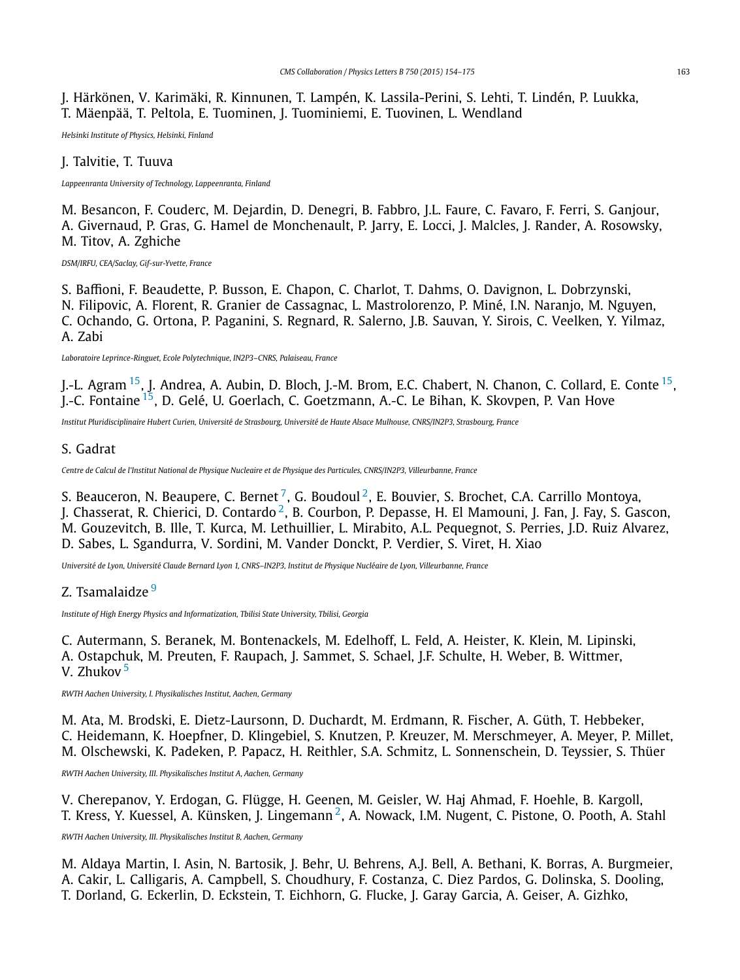J. Härkönen, V. Karimäki, R. Kinnunen, T. Lampén, K. Lassila-Perini, S. Lehti, T. Lindén, P. Luukka, T. Mäenpää, T. Peltola, E. Tuominen, J. Tuominiemi, E. Tuovinen, L. Wendland

*Helsinki Institute of Physics, Helsinki, Finland*

## J. Talvitie, T. Tuuva

*Lappeenranta University of Technology, Lappeenranta, Finland*

M. Besancon, F. Couderc, M. Dejardin, D. Denegri, B. Fabbro, J.L. Faure, C. Favaro, F. Ferri, S. Ganjour, A. Givernaud, P. Gras, G. Hamel de Monchenault, P. Jarry, E. Locci, J. Malcles, J. Rander, A. Rosowsky, M. Titov, A. Zghiche

*DSM/IRFU, CEA/Saclay, Gif-sur-Yvette, France*

S. Baffioni, F. Beaudette, P. Busson, E. Chapon, C. Charlot, T. Dahms, O. Davignon, L. Dobrzynski, N. Filipovic, A. Florent, R. Granier de Cassagnac, L. Mastrolorenzo, P. Miné, I.N. Naranjo, M. Nguyen, C. Ochando, G. Ortona, P. Paganini, S. Regnard, R. Salerno, J.B. Sauvan, Y. Sirois, C. Veelken, Y. Yilmaz, A. Zabi

*Laboratoire Leprince-Ringuet, Ecole Polytechnique, IN2P3–CNRS, Palaiseau, France*

J.-L. Agram <sup>15</sup>, J. Andrea, A. Aubin, D. Bloch, J.-M. Brom, E.C. Chabert, N. Chanon, C. Collard, E. Conte <sup>15</sup>, J.-C. Fontaine <sup>15</sup>, D. Gelé, U. Goerlach, C. Goetzmann, A.-C. Le Bihan, K. Skovpen, P. Van Hove

Institut Pluridisciplinaire Hubert Curien, Université de Strasbourg, Université de Haute Alsace Mulhouse, CNRS/IN2P3, Strasbourg, France

## S. Gadrat

Centre de Calcul de l'Institut National de Physique Nucleaire et de Physique des Particules, CNRS/IN2P3, Villeurbanne, France

S. Beauceron, N. Beaupere, C. Bernet<sup>[7](#page-21-0)</sup>, G. Boudoul<sup>2</sup>, E. Bouvier, S. Brochet, C.A. Carrillo Montoya, J. Chasserat, R. Chierici, D. Contardo<sup>2</sup>, B. Courbon, P. Depasse, H. El Mamouni, J. Fan, J. Fay, S. Gascon, M. Gouzevitch, B. Ille, T. Kurca, M. Lethuillier, L. Mirabito, A.L. Pequegnot, S. Perries, J.D. Ruiz Alvarez, D. Sabes, L. Sgandurra, V. Sordini, M. Vander Donckt, P. Verdier, S. Viret, H. Xiao

Université de Lyon, Université Claude Bernard Lyon 1, CNRS-IN2P3, Institut de Physique Nucléaire de Lyon, Villeurbanne, France

## Z. Tsamalaidze <sup>[9](#page-21-0)</sup>

*Institute of High Energy Physics and Informatization, Tbilisi State University, Tbilisi, Georgia*

C. Autermann, S. Beranek, M. Bontenackels, M. Edelhoff, L. Feld, A. Heister, K. Klein, M. Lipinski, A. Ostapchuk, M. Preuten, F. Raupach, J. Sammet, S. Schael, J.F. Schulte, H. Weber, B. Wittmer, V. Zhukov [5](#page-21-0)

*RWTH Aachen University, I. Physikalisches Institut, Aachen, Germany*

M. Ata, M. Brodski, E. Dietz-Laursonn, D. Duchardt, M. Erdmann, R. Fischer, A. Güth, T. Hebbeker, C. Heidemann, K. Hoepfner, D. Klingebiel, S. Knutzen, P. Kreuzer, M. Merschmeyer, A. Meyer, P. Millet, M. Olschewski, K. Padeken, P. Papacz, H. Reithler, S.A. Schmitz, L. Sonnenschein, D. Teyssier, S. Thüer

*RWTH Aachen University, III. Physikalisches Institut A, Aachen, Germany*

V. Cherepanov, Y. Erdogan, G. Flügge, H. Geenen, M. Geisler, W. Haj Ahmad, F. Hoehle, B. Kargoll, T. Kress, Y. Kuessel, A. Künsken, J. Lingemann [2](#page-20-0), A. Nowack, I.M. Nugent, C. Pistone, O. Pooth, A. Stahl

*RWTH Aachen University, III. Physikalisches Institut B, Aachen, Germany*

M. Aldaya Martin, I. Asin, N. Bartosik, J. Behr, U. Behrens, A.J. Bell, A. Bethani, K. Borras, A. Burgmeier, A. Cakir, L. Calligaris, A. Campbell, S. Choudhury, F. Costanza, C. Diez Pardos, G. Dolinska, S. Dooling, T. Dorland, G. Eckerlin, D. Eckstein, T. Eichhorn, G. Flucke, J. Garay Garcia, A. Geiser, A. Gizhko,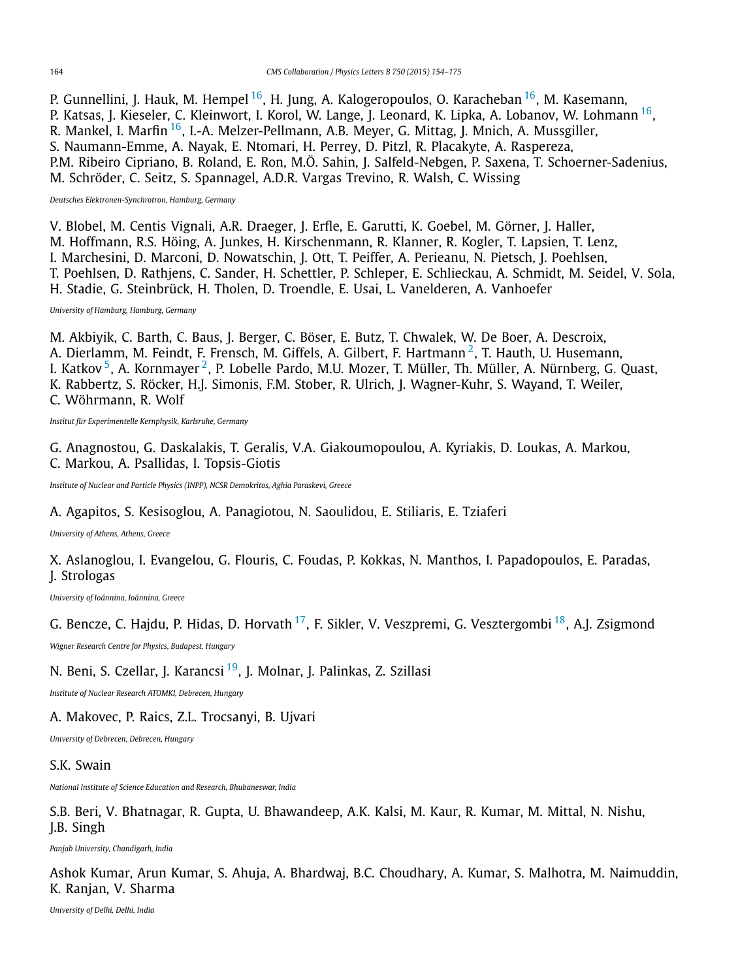P. Gunnellini, J. Hauk, M. Hempel <sup>[16](#page-21-0)</sup>, H. Jung, A. Kalogeropoulos, O. Karacheban <sup>16</sup>, M. Kasemann, P. Katsas, J. Kieseler, C. Kleinwort, I. Korol, W. Lange, J. Leonard, K. Lipka, A. Lobanov, W. Lohmann [16,](#page-21-0) R. Mankel, I. Marfin [16](#page-21-0), I.-A. Melzer-Pellmann, A.B. Meyer, G. Mittag, J. Mnich, A. Mussgiller, S. Naumann-Emme, A. Nayak, E. Ntomari, H. Perrey, D. Pitzl, R. Placakyte, A. Raspereza, P.M. Ribeiro Cipriano, B. Roland, E. Ron, M.Ö. Sahin, J. Salfeld-Nebgen, P. Saxena, T. Schoerner-Sadenius, M. Schröder, C. Seitz, S. Spannagel, A.D.R. Vargas Trevino, R. Walsh, C. Wissing

*Deutsches Elektronen-Synchrotron, Hamburg, Germany*

V. Blobel, M. Centis Vignali, A.R. Draeger, J. Erfle, E. Garutti, K. Goebel, M. Görner, J. Haller, M. Hoffmann, R.S. Höing, A. Junkes, H. Kirschenmann, R. Klanner, R. Kogler, T. Lapsien, T. Lenz, I. Marchesini, D. Marconi, D. Nowatschin, J. Ott, T. Peiffer, A. Perieanu, N. Pietsch, J. Poehlsen, T. Poehlsen, D. Rathjens, C. Sander, H. Schettler, P. Schleper, E. Schlieckau, A. Schmidt, M. Seidel, V. Sola, H. Stadie, G. Steinbrück, H. Tholen, D. Troendle, E. Usai, L. Vanelderen, A. Vanhoefer

*University of Hamburg, Hamburg, Germany*

M. Akbiyik, C. Barth, C. Baus, J. Berger, C. Böser, E. Butz, T. Chwalek, W. De Boer, A. Descroix, A. Dierlamm, M. Feindt, F. Frensch, M. Giffels, A. Gilbert, F. Hartmann<sup>[2](#page-20-0)</sup>, T. Hauth, U. Husemann, I. Katkov<sup>5</sup>, A. Kornmayer<sup>2</sup>, P. Lobelle Pardo, M.U. Mozer, T. Müller, Th. Müller, A. Nürnberg, G. Quast, K. Rabbertz, S. Röcker, H.J. Simonis, F.M. Stober, R. Ulrich, J. Wagner-Kuhr, S. Wayand, T. Weiler, C. Wöhrmann, R. Wolf

*Institut für Experimentelle Kernphysik, Karlsruhe, Germany*

G. Anagnostou, G. Daskalakis, T. Geralis, V.A. Giakoumopoulou, A. Kyriakis, D. Loukas, A. Markou, C. Markou, A. Psallidas, I. Topsis-Giotis

*Institute of Nuclear and Particle Physics (INPP), NCSR Demokritos, Aghia Paraskevi, Greece*

A. Agapitos, S. Kesisoglou, A. Panagiotou, N. Saoulidou, E. Stiliaris, E. Tziaferi

*University of Athens, Athens, Greece*

X. Aslanoglou, I. Evangelou, G. Flouris, C. Foudas, P. Kokkas, N. Manthos, I. Papadopoulos, E. Paradas, J. Strologas

*University of Ioánnina, Ioánnina, Greece*

# G. Bencze, C. Hajdu, P. Hidas, D. Horvath [17](#page-21-0), F. Sikler, V. Veszpremi, G. Vesztergombi [18,](#page-21-0) A.J. Zsigmond

*Wigner Research Centre for Physics, Budapest, Hungary*

N. Beni, S. Czellar, J. Karancsi [19,](#page-21-0) J. Molnar, J. Palinkas, Z. Szillasi

*Institute of Nuclear Research ATOMKI, Debrecen, Hungary*

A. Makovec, P. Raics, Z.L. Trocsanyi, B. Ujvari

*University of Debrecen, Debrecen, Hungary*

#### S.K. Swain

*National Institute of Science Education and Research, Bhubaneswar, India*

S.B. Beri, V. Bhatnagar, R. Gupta, U. Bhawandeep, A.K. Kalsi, M. Kaur, R. Kumar, M. Mittal, N. Nishu, J.B. Singh

*Panjab University, Chandigarh, India*

Ashok Kumar, Arun Kumar, S. Ahuja, A. Bhardwaj, B.C. Choudhary, A. Kumar, S. Malhotra, M. Naimuddin, K. Ranjan, V. Sharma

*University of Delhi, Delhi, India*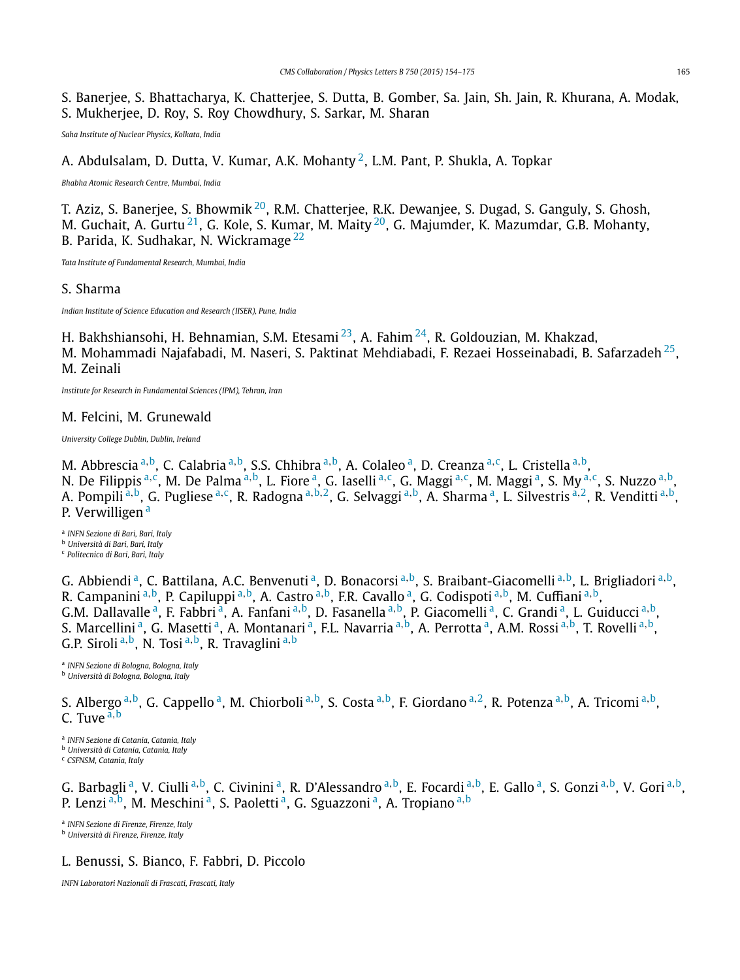S. Banerjee, S. Bhattacharya, K. Chatterjee, S. Dutta, B. Gomber, Sa. Jain, Sh. Jain, R. Khurana, A. Modak, S. Mukherjee, D. Roy, S. Roy Chowdhury, S. Sarkar, M. Sharan

*Saha Institute of Nuclear Physics, Kolkata, India*

A. Abdulsalam, D. Dutta, V. Kumar, A.K. Mohanty [2](#page-20-0), L.M. Pant, P. Shukla, A. Topkar

*Bhabha Atomic Research Centre, Mumbai, India*

T. Aziz, S. Banerjee, S. Bhowmik [20,](#page-21-0) R.M. Chatterjee, R.K. Dewanjee, S. Dugad, S. Ganguly, S. Ghosh, M. Guchait, A. Gurtu [21,](#page-21-0) G. Kole, S. Kumar, M. Maity [20,](#page-21-0) G. Majumder, K. Mazumdar, G.B. Mohanty, B. Parida, K. Sudhakar, N. Wickramage [22](#page-21-0)

*Tata Institute of Fundamental Research, Mumbai, India*

#### S. Sharma

*Indian Institute of Science Education and Research (IISER), Pune, India*

H. Bakhshiansohi, H. Behnamian, S.M. Etesami  $^{23}$ , A. Fahim  $^{24}$ , R. Goldouzian, M. Khakzad,

M. Mohammadi Najafabadi, M. Naseri, S. Paktinat Mehdiabadi, F. Rezaei Hosseinabadi, B. Safarzadeh<sup>25</sup>, M. Zeinali

*Institute for Research in Fundamental Sciences (IPM), Tehran, Iran*

#### M. Felcini, M. Grunewald

*University College Dublin, Dublin, Ireland*

M. Abbrescia <sup>a</sup>*,*b, C. Calabria <sup>a</sup>*,*b, S.S. Chhibra <sup>a</sup>*,*b, A. Colaleo a, D. Creanza <sup>a</sup>*,*c, L. Cristella <sup>a</sup>*,*b, N. De Filippis <sup>a</sup>*,*c, M. De Palma <sup>a</sup>*,*b, L. Fiore a, G. Iaselli <sup>a</sup>*,*c, G. Maggi <sup>a</sup>*,*c, M. Maggi a, S. My <sup>a</sup>*,*c, S. Nuzzo <sup>a</sup>*,*b, A. Pompili <sup>a</sup>*,*b, G. Pugliese <sup>a</sup>*,*c, R. Radogna <sup>a</sup>*,*b*,*[2,](#page-20-0) G. Selvaggi <sup>a</sup>*,*b, A. Sharma a, L. Silvestris <sup>a</sup>*,*[2,](#page-20-0) R. Venditti <sup>a</sup>*,*b, P. Verwilligen <sup>a</sup>

<sup>a</sup> *INFN Sezione di Bari, Bari, Italy* <sup>b</sup> *Università di Bari, Bari, Italy*

<sup>c</sup> *Politecnico di Bari, Bari, Italy*

G. Abbiendi a, C. Battilana, A.C. Benvenuti a, D. Bonacorsi <sup>a</sup>*,*b, S. Braibant-Giacomelli <sup>a</sup>*,*b, L. Brigliadori <sup>a</sup>*,*b, R. Campanini <sup>a</sup>*,*b, P. Capiluppi <sup>a</sup>*,*b, A. Castro <sup>a</sup>*,*b, F.R. Cavallo a, G. Codispoti <sup>a</sup>*,*b, M. Cuffiani <sup>a</sup>*,*b, G.M. Dallavalle a, F. Fabbri a, A. Fanfani <sup>a</sup>*,*b, D. Fasanella <sup>a</sup>*,*b, P. Giacomelli a, C. Grandi a, L. Guiducci <sup>a</sup>*,*b, S. Marcellini<sup>a</sup>, G. Masetti<sup>a</sup>, A. Montanari<sup>a</sup>, F.L. Navarria <sup>a, b</sup>, A. Perrotta <sup>a</sup>, A.M. Rossi <sup>a, b</sup>, T. Rovelli <sup>a, b</sup>, G.P. Siroli <sup>a</sup>*,*b, N. Tosi <sup>a</sup>*,*b, R. Travaglini <sup>a</sup>*,*<sup>b</sup>

<sup>a</sup> *INFN Sezione di Bologna, Bologna, Italy* <sup>b</sup> *Università di Bologna, Bologna, Italy*

S. Albergo <sup>a</sup>*,*b, G. Cappello a, M. Chiorboli <sup>a</sup>*,*b, S. Costa <sup>a</sup>*,*b, F. Giordano <sup>a</sup>*,*[2,](#page-20-0) R. Potenza <sup>a</sup>*,*b, A. Tricomi <sup>a</sup>*,*b, C. Tuve <sup>a</sup>*,*<sup>b</sup>

<sup>a</sup> *INFN Sezione di Catania, Catania, Italy*

<sup>b</sup> *Università di Catania, Catania, Italy*

<sup>c</sup> *CSFNSM, Catania, Italy*

G. Barbagli<sup>a</sup>, V. Ciulli<sup>a,b</sup>, C. Civinini<sup>a</sup>, R. D'Alessandro<sup>a,b</sup>, E. Focardi<sup>a,b</sup>, E. Gallo<sup>a</sup>, S. Gonzi<sup>a,b</sup>, V. Gori<sup>a,b</sup>, P. Lenzi a, b, M. Meschini <sup>a</sup>, S. Paoletti <sup>a</sup>, G. Sguazzoni <sup>a</sup>, A. Tropiano a, b

<sup>a</sup> *INFN Sezione di Firenze, Firenze, Italy*

<sup>b</sup> *Università di Firenze, Firenze, Italy*

#### L. Benussi, S. Bianco, F. Fabbri, D. Piccolo

*INFN Laboratori Nazionali di Frascati, Frascati, Italy*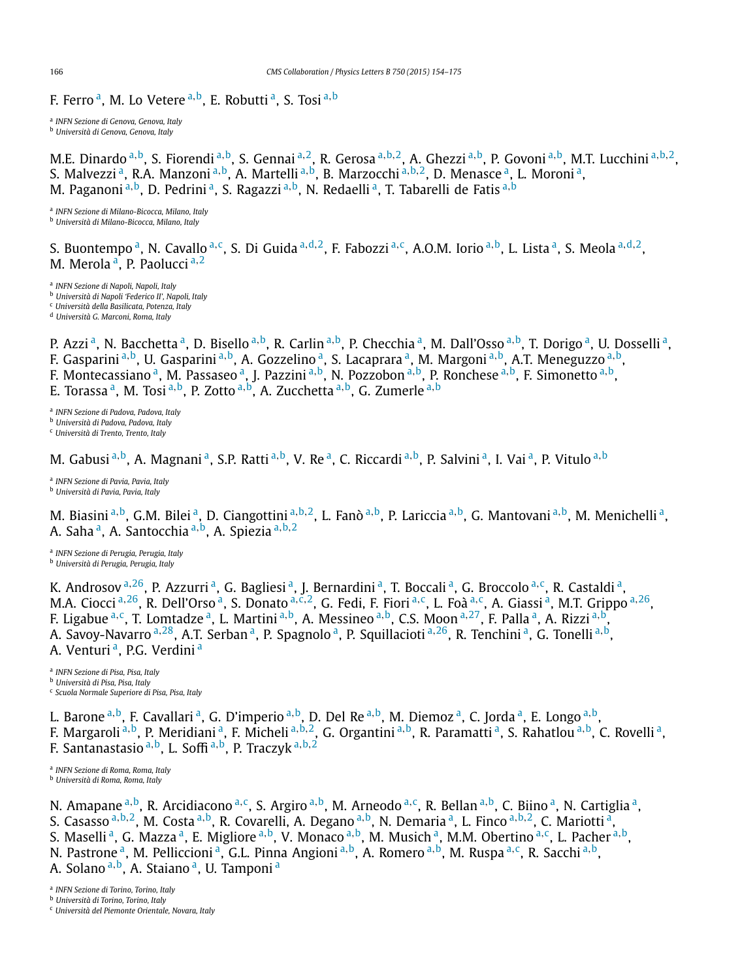# F. Ferro a, M. Lo Vetere <sup>a</sup>*,*b, E. Robutti a, S. Tosi <sup>a</sup>*,*<sup>b</sup>

<sup>a</sup> *INFN Sezione di Genova, Genova, Italy* <sup>b</sup> *Università di Genova, Genova, Italy*

M.E. Dinardo <sup>a</sup>*,*b, S. Fiorendi <sup>a</sup>*,*b, S. Gennai <sup>a</sup>*,*[2,](#page-20-0) R. Gerosa <sup>a</sup>*,*b*,*[2,](#page-20-0) A. Ghezzi <sup>a</sup>*,*b, P. Govoni <sup>a</sup>*,*b, M.T. Lucchini <sup>a</sup>*,*b*,*[2,](#page-20-0) S. Malvezzi a, R.A. Manzoni <sup>a</sup>*,*b, A. Martelli <sup>a</sup>*,*b, B. Marzocchi <sup>a</sup>*,*b*,*[2,](#page-20-0) D. Menasce a, L. Moroni a, M. Paganoni<sup>a,b</sup>, D. Pedrini<sup>a</sup>, S. Ragazzi<sup>a,b</sup>, N. Redaelli<sup>a</sup>, T. Tabarelli de Fatis<sup>a,b</sup>

<sup>a</sup> *INFN Sezione di Milano-Bicocca, Milano, Italy* <sup>b</sup> *Università di Milano-Bicocca, Milano, Italy*

S. Buontempo a, N. Cavallo <sup>a</sup>*,*c, S. Di Guida <sup>a</sup>*,*d*,*[2,](#page-20-0) F. Fabozzi <sup>a</sup>*,*c, A.O.M. Iorio <sup>a</sup>*,*b, L. Lista a, S. Meola <sup>a</sup>*,*d*,*[2](#page-20-0), M. Merola <sup>a</sup>, P. Paolucci<sup>a, [2](#page-20-0)</sup>

<sup>a</sup> *INFN Sezione di Napoli, Napoli, Italy*

<sup>b</sup> *Università di Napoli 'Federico II', Napoli, Italy*

<sup>c</sup> *Università della Basilicata, Potenza, Italy*

<sup>d</sup> *Università G. Marconi, Roma, Italy*

P. Azzi<sup>a</sup>, N. Bacchetta<sup>a</sup>, D. Bisello a,b, R. Carlin a,b, P. Checchia <sup>a</sup>, M. Dall'Osso a,b, T. Dorigo <sup>a</sup>, U. Dosselli <sup>a</sup>, F. Gasparini <sup>a</sup>*,*b, U. Gasparini <sup>a</sup>*,*b, A. Gozzelino a, S. Lacaprara a, M. Margoni <sup>a</sup>*,*b, A.T. Meneguzzo <sup>a</sup>*,*b, F. Montecassiano a, M. Passaseo a, J. Pazzini <sup>a</sup>*,*b, N. Pozzobon <sup>a</sup>*,*b, P. Ronchese <sup>a</sup>*,*b, F. Simonetto <sup>a</sup>*,*b, E. Torassa a, M. Tosi <sup>a</sup>*,*b, P. Zotto <sup>a</sup>*,*b, A. Zucchetta <sup>a</sup>*,*b, G. Zumerle <sup>a</sup>*,*<sup>b</sup>

<sup>a</sup> *INFN Sezione di Padova, Padova, Italy*

<sup>b</sup> *Università di Padova, Padova, Italy*

<sup>c</sup> *Università di Trento, Trento, Italy*

M. Gabusi <sup>a,b</sup>, A. Magnani <sup>a</sup>, S.P. Ratti <sup>a,b</sup>, V. Re <sup>a</sup>, C. Riccardi <sup>a,b</sup>, P. Salvini <sup>a</sup>, I. Vai <sup>a</sup>, P. Vitulo <sup>a,b</sup>

<sup>a</sup> *INFN Sezione di Pavia, Pavia, Italy* <sup>b</sup> *Università di Pavia, Pavia, Italy*

M. Biasini <sup>a</sup>*,*b, G.M. Bilei a, D. Ciangottini <sup>a</sup>*,*b*,*[2,](#page-20-0) L. Fanò <sup>a</sup>*,*b, P. Lariccia <sup>a</sup>*,*b, G. Mantovani <sup>a</sup>*,*b, M. Menichelli a, A. Saha a, A. Santocchia <sup>a</sup>*,*b, A. Spiezia <sup>a</sup>*,*b*,*[2](#page-20-0)

<sup>a</sup> *INFN Sezione di Perugia, Perugia, Italy* <sup>b</sup> *Università di Perugia, Perugia, Italy*

K. Androsov<sup>a, 26</sup>, P. Azzurri<sup>a</sup>, G. Bagliesi<sup>a</sup>, J. Bernardini<sup>a</sup>, T. Boccali<sup>a</sup>, G. Broccolo<sup>a, c</sup>, R. Castaldi<sup>a</sup>. M.A. Ciocci <sup>a</sup>*,*[26,](#page-21-0) R. Dell'Orso a, S. Donato <sup>a</sup>*,*c*,*[2,](#page-20-0) G. Fedi, F. Fiori <sup>a</sup>*,*c, L. Foà <sup>a</sup>*,*c, A. Giassi a, M.T. Grippo <sup>a</sup>*,*[26,](#page-21-0) F. Ligabue <sup>a</sup>*,*c, T. Lomtadze a, L. Martini <sup>a</sup>*,*b, A. Messineo <sup>a</sup>*,*b, C.S. Moon <sup>a</sup>*,*[27,](#page-21-0) F. Palla a, A. Rizzi <sup>a</sup>*,*b, A. Savoy-Navarro <sup>a, 28</sup>, A.T. Serban <sup>a</sup>, P. Spagnolo <sup>a</sup>, P. Squillacioti <sup>a, 26</sup>, R. Tenchini <sup>a</sup>, G. Tonelli <sup>a, b</sup>, A. Venturi<sup>a</sup>, P.G. Verdini<sup>a</sup>

<sup>a</sup> *INFN Sezione di Pisa, Pisa, Italy*

<sup>b</sup> *Università di Pisa, Pisa, Italy*

<sup>c</sup> *Scuola Normale Superiore di Pisa, Pisa, Italy*

L. Barone <sup>a,b</sup>, F. Cavallari<sup>a</sup>, G. D'imperio <sup>a,b</sup>, D. Del Re <sup>a,b</sup>, M. Diemoz<sup>a</sup>, C. Jorda <sup>a</sup>, E. Longo <sup>a,b</sup>, F. Margaroli <sup>a</sup>*,*b, P. Meridiani a, F. Micheli <sup>a</sup>*,*b*,*[2,](#page-20-0) G. Organtini <sup>a</sup>*,*b, R. Paramatti a, S. Rahatlou <sup>a</sup>*,*b, C. Rovelli a, F. Santanastasio <sup>a</sup>*,*b, L. Soffi <sup>a</sup>*,*b, P. Traczyk <sup>a</sup>*,*b*,*[2](#page-20-0)

<sup>a</sup> *INFN Sezione di Roma, Roma, Italy* <sup>b</sup> *Università di Roma, Roma, Italy*

N. Amapane <sup>a</sup>*,*b, R. Arcidiacono <sup>a</sup>*,*c, S. Argiro <sup>a</sup>*,*b, M. Arneodo <sup>a</sup>*,*c, R. Bellan <sup>a</sup>*,*b, C. Biino a, N. Cartiglia a, S. Casasso <sup>a</sup>*,*b*,*[2,](#page-20-0) M. Costa <sup>a</sup>*,*b, R. Covarelli, A. Degano <sup>a</sup>*,*b, N. Demaria a, L. Finco <sup>a</sup>*,*b*,*[2,](#page-20-0) C. Mariotti a, S. Maselli a, G. Mazza a, E. Migliore <sup>a</sup>*,*b, V. Monaco <sup>a</sup>*,*b, M. Musich a, M.M. Obertino <sup>a</sup>*,*c, L. Pacher <sup>a</sup>*,*b, N. Pastrone a, M. Pelliccioni a, G.L. Pinna Angioni <sup>a</sup>*,*b, A. Romero <sup>a</sup>*,*b, M. Ruspa <sup>a</sup>*,*c, R. Sacchi <sup>a</sup>*,*b, A. Solano <sup>a, b</sup>, A. Staiano <sup>a</sup>, U. Tamponi <sup>a</sup>

<sup>a</sup> *INFN Sezione di Torino, Torino, Italy* <sup>b</sup> *Università di Torino, Torino, Italy*

<sup>c</sup> *Università del Piemonte Orientale, Novara, Italy*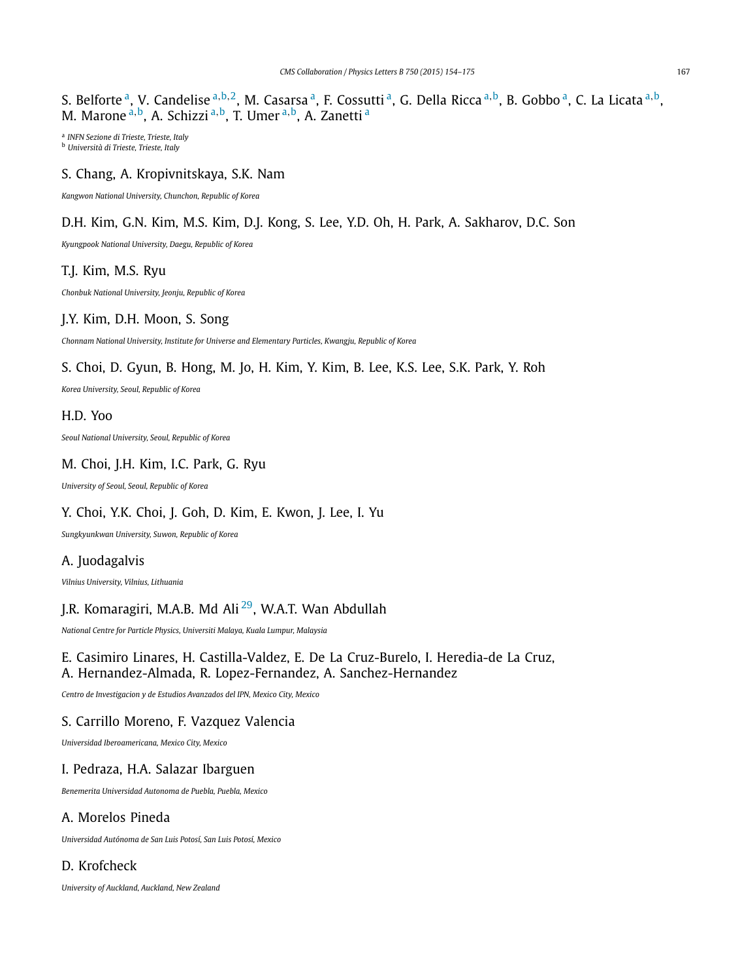# S. Belforte a, V. Candelise <sup>a</sup>*,*b*,*[2,](#page-20-0) M. Casarsa a, F. Cossutti a, G. Della Ricca <sup>a</sup>*,*b, B. Gobbo a, C. La Licata <sup>a</sup>*,*b, M. Marone <sup>a</sup>*,*b, A. Schizzi <sup>a</sup>*,*b, T. Umer <sup>a</sup>*,*b, A. Zanetti <sup>a</sup>

<sup>a</sup> *INFN Sezione di Trieste, Trieste, Italy* <sup>b</sup> *Università di Trieste, Trieste, Italy*

#### S. Chang, A. Kropivnitskaya, S.K. Nam

*Kangwon National University, Chunchon, Republic of Korea*

#### D.H. Kim, G.N. Kim, M.S. Kim, D.J. Kong, S. Lee, Y.D. Oh, H. Park, A. Sakharov, D.C. Son

*Kyungpook National University, Daegu, Republic of Korea*

## T.J. Kim, M.S. Ryu

*Chonbuk National University, Jeonju, Republic of Korea*

## J.Y. Kim, D.H. Moon, S. Song

*Chonnam National University, Institute for Universe and Elementary Particles, Kwangju, Republic of Korea*

#### S. Choi, D. Gyun, B. Hong, M. Jo, H. Kim, Y. Kim, B. Lee, K.S. Lee, S.K. Park, Y. Roh

*Korea University, Seoul, Republic of Korea*

#### H.D. Yoo

*Seoul National University, Seoul, Republic of Korea*

#### M. Choi, J.H. Kim, I.C. Park, G. Ryu

*University of Seoul, Seoul, Republic of Korea*

## Y. Choi, Y.K. Choi, J. Goh, D. Kim, E. Kwon, J. Lee, I. Yu

*Sungkyunkwan University, Suwon, Republic of Korea*

## A. Juodagalvis

*Vilnius University, Vilnius, Lithuania*

# J.R. Komaragiri, M.A.B. Md Ali [29](#page-21-0), W.A.T. Wan Abdullah

*National Centre for Particle Physics, Universiti Malaya, Kuala Lumpur, Malaysia*

## E. Casimiro Linares, H. Castilla-Valdez, E. De La Cruz-Burelo, I. Heredia-de La Cruz, A. Hernandez-Almada, R. Lopez-Fernandez, A. Sanchez-Hernandez

*Centro de Investigacion y de Estudios Avanzados del IPN, Mexico City, Mexico*

#### S. Carrillo Moreno, F. Vazquez Valencia

*Universidad Iberoamericana, Mexico City, Mexico*

#### I. Pedraza, H.A. Salazar Ibarguen

*Benemerita Universidad Autonoma de Puebla, Puebla, Mexico*

# A. Morelos Pineda

*Universidad Autónoma de San Luis Potosí, San Luis Potosí, Mexico*

## D. Krofcheck

*University of Auckland, Auckland, New Zealand*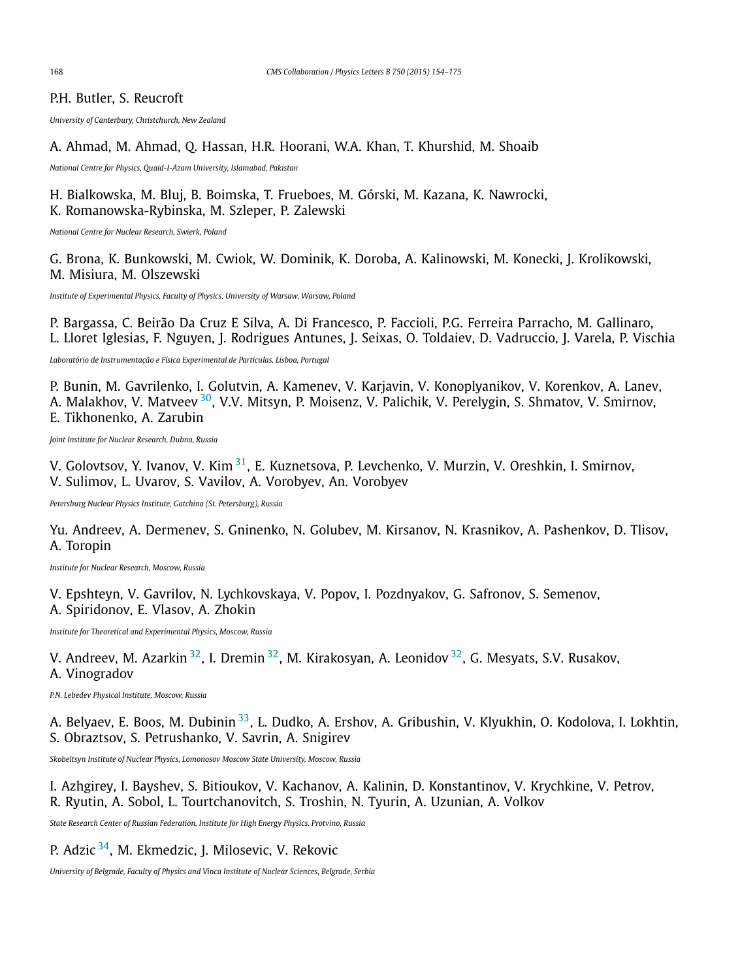#### P.H. Butler, S. Reucroft

*University of Canterbury, Christchurch, New Zealand*

#### A. Ahmad, M. Ahmad, Q. Hassan, H.R. Hoorani, W.A. Khan, T. Khurshid, M. Shoaib

*National Centre for Physics, Quaid-I-Azam University, Islamabad, Pakistan*

H. Bialkowska, M. Bluj, B. Boimska, T. Frueboes, M. Górski, M. Kazana, K. Nawrocki, K. Romanowska-Rybinska, M. Szleper, P. Zalewski

*National Centre for Nuclear Research, Swierk, Poland*

G. Brona, K. Bunkowski, M. Cwiok, W. Dominik, K. Doroba, A. Kalinowski, M. Konecki, J. Krolikowski, M. Misiura, M. Olszewski

*Institute of Experimental Physics, Faculty of Physics, University of Warsaw, Warsaw, Poland*

P. Bargassa, C. Beirão Da Cruz E Silva, A. Di Francesco, P. Faccioli, P.G. Ferreira Parracho, M. Gallinaro, L. Lloret Iglesias, F. Nguyen, J. Rodrigues Antunes, J. Seixas, O. Toldaiev, D. Vadruccio, J. Varela, P. Vischia

*Laboratório de Instrumentação e Física Experimental de Partículas, Lisboa, Portugal*

P. Bunin, M. Gavrilenko, I. Golutvin, A. Kamenev, V. Karjavin, V. Konoplyanikov, V. Korenkov, A. Lanev, A. Malakhov, V. Matveev<sup>30</sup>, V.V. Mitsyn, P. Moisenz, V. Palichik, V. Perelygin, S. Shmatov, V. Smirnov, E. Tikhonenko, A. Zarubin

*Joint Institute for Nuclear Research, Dubna, Russia*

V. Golovtsov, Y. Ivanov, V. Kim<sup>[31](#page-21-0)</sup>, E. Kuznetsova, P. Levchenko, V. Murzin, V. Oreshkin, I. Smirnov, V. Sulimov, L. Uvarov, S. Vavilov, A. Vorobyev, An. Vorobyev

*Petersburg Nuclear Physics Institute, Gatchina (St. Petersburg), Russia*

Yu. Andreev, A. Dermenev, S. Gninenko, N. Golubev, M. Kirsanov, N. Krasnikov, A. Pashenkov, D. Tlisov, A. Toropin

*Institute for Nuclear Research, Moscow, Russia*

V. Epshteyn, V. Gavrilov, N. Lychkovskaya, V. Popov, I. Pozdnyakov, G. Safronov, S. Semenov, A. Spiridonov, E. Vlasov, A. Zhokin

*Institute for Theoretical and Experimental Physics, Moscow, Russia*

V. Andreev, M. Azarkin [32,](#page-21-0) I. Dremin [32,](#page-21-0) M. Kirakosyan, A. Leonidov [32,](#page-21-0) G. Mesyats, S.V. Rusakov, A. Vinogradov

*P.N. Lebedev Physical Institute, Moscow, Russia*

A. Belyaev, E. Boos, M. Dubinin<sup>33</sup>, L. Dudko, A. Ershov, A. Gribushin, V. Klyukhin, O. Kodolova, I. Lokhtin, S. Obraztsov, S. Petrushanko, V. Savrin, A. Snigirev

*Skobeltsyn Institute of Nuclear Physics, Lomonosov Moscow State University, Moscow, Russia*

I. Azhgirey, I. Bayshev, S. Bitioukov, V. Kachanov, A. Kalinin, D. Konstantinov, V. Krychkine, V. Petrov, R. Ryutin, A. Sobol, L. Tourtchanovitch, S. Troshin, N. Tyurin, A. Uzunian, A. Volkov

*State Research Center of Russian Federation, Institute for High Energy Physics, Protvino, Russia*

P. Adzic<sup>34</sup>, M. Ekmedzic, J. Milosevic, V. Rekovic

*University of Belgrade, Faculty of Physics and Vinca Institute of Nuclear Sciences, Belgrade, Serbia*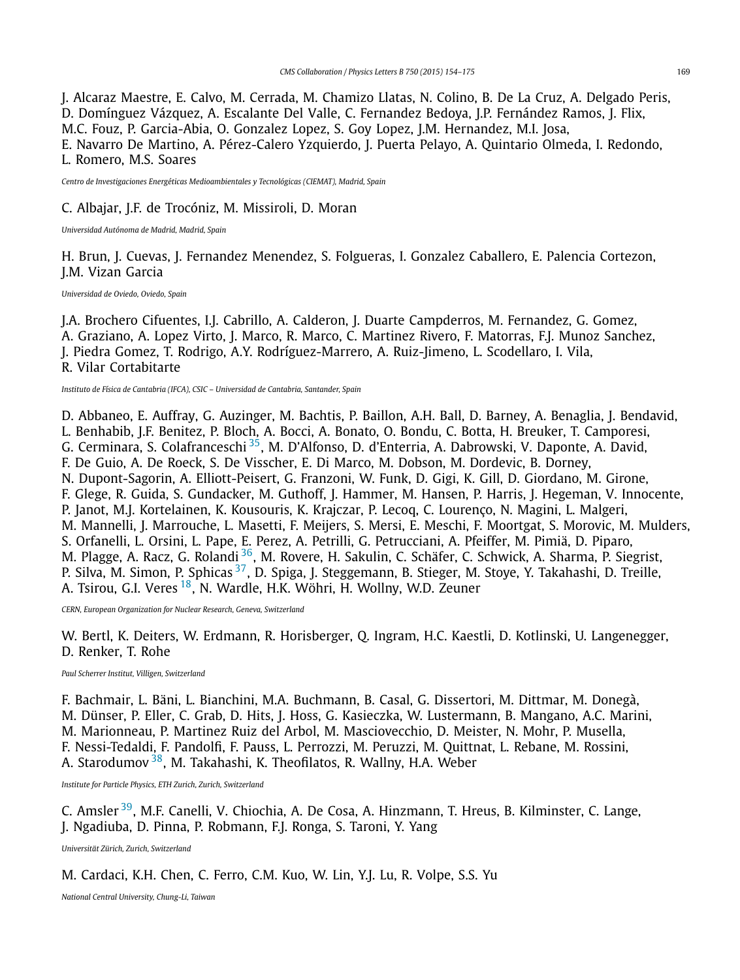J. Alcaraz Maestre, E. Calvo, M. Cerrada, M. Chamizo Llatas, N. Colino, B. De La Cruz, A. Delgado Peris, D. Domínguez Vázquez, A. Escalante Del Valle, C. Fernandez Bedoya, J.P. Fernández Ramos, J. Flix, M.C. Fouz, P. Garcia-Abia, O. Gonzalez Lopez, S. Goy Lopez, J.M. Hernandez, M.I. Josa, E. Navarro De Martino, A. Pérez-Calero Yzquierdo, J. Puerta Pelayo, A. Quintario Olmeda, I. Redondo, L. Romero, M.S. Soares

*Centro de Investigaciones Energéticas Medioambientales y Tecnológicas (CIEMAT), Madrid, Spain*

#### C. Albajar, J.F. de Trocóniz, M. Missiroli, D. Moran

*Universidad Autónoma de Madrid, Madrid, Spain*

H. Brun, J. Cuevas, J. Fernandez Menendez, S. Folgueras, I. Gonzalez Caballero, E. Palencia Cortezon, J.M. Vizan Garcia

*Universidad de Oviedo, Oviedo, Spain*

J.A. Brochero Cifuentes, I.J. Cabrillo, A. Calderon, J. Duarte Campderros, M. Fernandez, G. Gomez, A. Graziano, A. Lopez Virto, J. Marco, R. Marco, C. Martinez Rivero, F. Matorras, F.J. Munoz Sanchez, J. Piedra Gomez, T. Rodrigo, A.Y. Rodríguez-Marrero, A. Ruiz-Jimeno, L. Scodellaro, I. Vila, R. Vilar Cortabitarte

*Instituto de Física de Cantabria (IFCA), CSIC – Universidad de Cantabria, Santander, Spain*

D. Abbaneo, E. Auffray, G. Auzinger, M. Bachtis, P. Baillon, A.H. Ball, D. Barney, A. Benaglia, J. Bendavid, L. Benhabib, J.F. Benitez, P. Bloch, A. Bocci, A. Bonato, O. Bondu, C. Botta, H. Breuker, T. Camporesi, G. Cerminara, S. Colafranceschi [35,](#page-21-0) M. D'Alfonso, D. d'Enterria, A. Dabrowski, V. Daponte, A. David, F. De Guio, A. De Roeck, S. De Visscher, E. Di Marco, M. Dobson, M. Dordevic, B. Dorney, N. Dupont-Sagorin, A. Elliott-Peisert, G. Franzoni, W. Funk, D. Gigi, K. Gill, D. Giordano, M. Girone, F. Glege, R. Guida, S. Gundacker, M. Guthoff, J. Hammer, M. Hansen, P. Harris, J. Hegeman, V. Innocente, P. Janot, M.J. Kortelainen, K. Kousouris, K. Krajczar, P. Lecoq, C. Lourenço, N. Magini, L. Malgeri, M. Mannelli, J. Marrouche, L. Masetti, F. Meijers, S. Mersi, E. Meschi, F. Moortgat, S. Morovic, M. Mulders, S. Orfanelli, L. Orsini, L. Pape, E. Perez, A. Petrilli, G. Petrucciani, A. Pfeiffer, M. Pimiä, D. Piparo, M. Plagge, A. Racz, G. Rolandi [36,](#page-21-0) M. Rovere, H. Sakulin, C. Schäfer, C. Schwick, A. Sharma, P. Siegrist, P. Silva, M. Simon, P. Sphicas [37,](#page-21-0) D. Spiga, J. Steggemann, B. Stieger, M. Stoye, Y. Takahashi, D. Treille, A. Tsirou, G.I. Veres [18,](#page-21-0) N. Wardle, H.K. Wöhri, H. Wollny, W.D. Zeuner

*CERN, European Organization for Nuclear Research, Geneva, Switzerland*

W. Bertl, K. Deiters, W. Erdmann, R. Horisberger, Q. Ingram, H.C. Kaestli, D. Kotlinski, U. Langenegger, D. Renker, T. Rohe

*Paul Scherrer Institut, Villigen, Switzerland*

F. Bachmair, L. Bäni, L. Bianchini, M.A. Buchmann, B. Casal, G. Dissertori, M. Dittmar, M. Donegà, M. Dünser, P. Eller, C. Grab, D. Hits, J. Hoss, G. Kasieczka, W. Lustermann, B. Mangano, A.C. Marini, M. Marionneau, P. Martinez Ruiz del Arbol, M. Masciovecchio, D. Meister, N. Mohr, P. Musella, F. Nessi-Tedaldi, F. Pandolfi, F. Pauss, L. Perrozzi, M. Peruzzi, M. Quittnat, L. Rebane, M. Rossini, A. Starodumov [38,](#page-21-0) M. Takahashi, K. Theofilatos, R. Wallny, H.A. Weber

*Institute for Particle Physics, ETH Zurich, Zurich, Switzerland*

C. Amsler [39,](#page-21-0) M.F. Canelli, V. Chiochia, A. De Cosa, A. Hinzmann, T. Hreus, B. Kilminster, C. Lange, J. Ngadiuba, D. Pinna, P. Robmann, F.J. Ronga, S. Taroni, Y. Yang

*Universität Zürich, Zurich, Switzerland*

M. Cardaci, K.H. Chen, C. Ferro, C.M. Kuo, W. Lin, Y.J. Lu, R. Volpe, S.S. Yu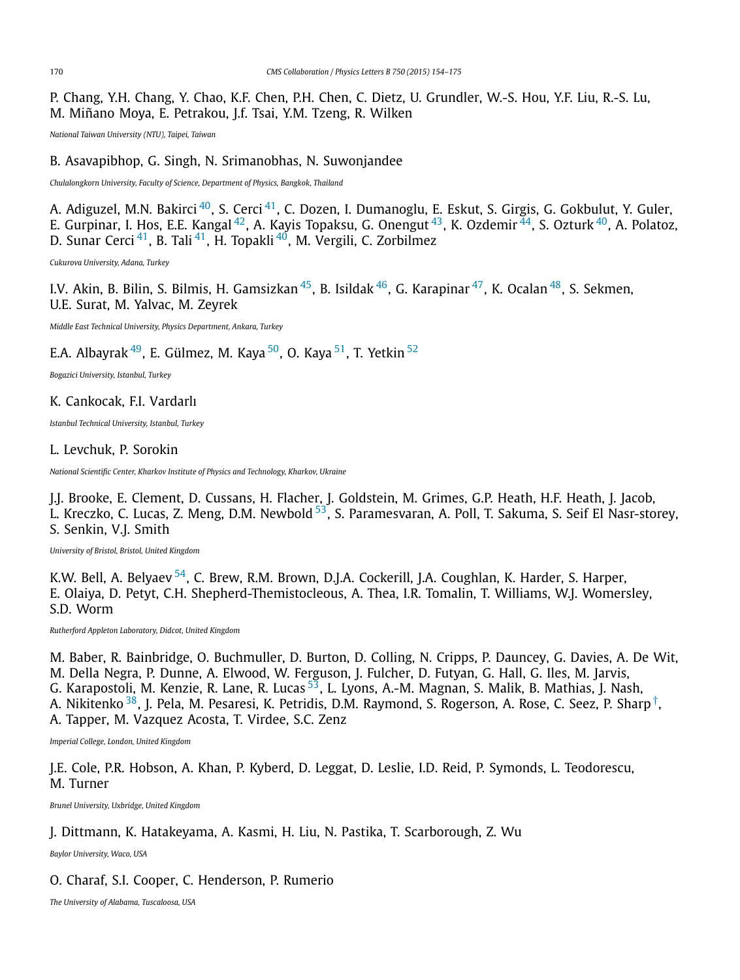P. Chang, Y.H. Chang, Y. Chao, K.F. Chen, P.H. Chen, C. Dietz, U. Grundler, W.-S. Hou, Y.F. Liu, R.-S. Lu, M. Miñano Moya, E. Petrakou, J.f. Tsai, Y.M. Tzeng, R. Wilken

*National Taiwan University (NTU), Taipei, Taiwan*

#### B. Asavapibhop, G. Singh, N. Srimanobhas, N. Suwonjandee

*Chulalongkorn University, Faculty of Science, Department of Physics, Bangkok, Thailand*

A. Adiguzel, M.N. Bakirci <sup>40</sup>, S. Cerci <sup>41</sup>, C. Dozen, I. Dumanoglu, E. Eskut, S. Girgis, G. Gokbulut, Y. Guler, E. Gurpinar, I. Hos, E.E. Kangal [42](#page-21-0), A. Kayis Topaksu, G. Onengut [43,](#page-21-0) K. Ozdemir [44,](#page-21-0) S. Ozturk [40,](#page-21-0) A. Polatoz, D. Sunar Cerci [41,](#page-21-0) B. Tali [41,](#page-21-0) H. Topakli [40,](#page-21-0) M. Vergili, C. Zorbilmez

*Cukurova University, Adana, Turkey*

I.V. Akin, B. Bilin, S. Bilmis, H. Gamsizkan <sup>45</sup>, B. Isildak <sup>46</sup>, G. Karapinar <sup>[47](#page-21-0)</sup>, K. Ocalan <sup>48</sup>, S. Sekmen, U.E. Surat, M. Yalvac, M. Zeyrek

*Middle East Technical University, Physics Department, Ankara, Turkey*

# E.A. Albayrak [49,](#page-21-0) E. Gülmez, M. Kaya [50,](#page-21-0) O. Kaya [51,](#page-21-0) T. Yetkin [52](#page-21-0)

*Bogazici University, Istanbul, Turkey*

#### K. Cankocak, F.I. Vardarlı

*Istanbul Technical University, Istanbul, Turkey*

#### L. Levchuk, P. Sorokin

*National Scientific Center, Kharkov Institute of Physics and Technology, Kharkov, Ukraine*

J.J. Brooke, E. Clement, D. Cussans, H. Flacher, J. Goldstein, M. Grimes, G.P. Heath, H.F. Heath, J. Jacob, L. Kreczko, C. Lucas, Z. Meng, D.M. Newbold <sup>53</sup>, S. Paramesvaran, A. Poll, T. Sakuma, S. Seif El Nasr-storey, S. Senkin, V.J. Smith

*University of Bristol, Bristol, United Kingdom*

K.W. Bell, A. Belyaev <sup>54</sup>, C. Brew, R.M. Brown, D.J.A. Cockerill, J.A. Coughlan, K. Harder, S. Harper, E. Olaiya, D. Petyt, C.H. Shepherd-Themistocleous, A. Thea, I.R. Tomalin, T. Williams, W.J. Womersley, S.D. Worm

*Rutherford Appleton Laboratory, Didcot, United Kingdom*

M. Baber, R. Bainbridge, O. Buchmuller, D. Burton, D. Colling, N. Cripps, P. Dauncey, G. Davies, A. De Wit, M. Della Negra, P. Dunne, A. Elwood, W. Ferguson, J. Fulcher, D. Futyan, G. Hall, G. Iles, M. Jarvis, G. Karapostoli, M. Kenzie, R. Lane, R. Lucas<sup>[53](#page-21-0)</sup>, L. Lyons, A.-M. Magnan, S. Malik, B. Mathias, J. Nash, A. Nikitenko <sup>38</sup>, J. Pela, M. Pesaresi, K. Petridis, D.M. Raymond, S. Rogerson, A. Rose, C. Seez, P. Sharp<sup>†</sup>, A. Tapper, M. Vazquez Acosta, T. Virdee, S.C. Zenz

*Imperial College, London, United Kingdom*

J.E. Cole, P.R. Hobson, A. Khan, P. Kyberd, D. Leggat, D. Leslie, I.D. Reid, P. Symonds, L. Teodorescu, M. Turner

*Brunel University, Uxbridge, United Kingdom*

J. Dittmann, K. Hatakeyama, A. Kasmi, H. Liu, N. Pastika, T. Scarborough, Z. Wu

*Baylor University, Waco, USA*

O. Charaf, S.I. Cooper, C. Henderson, P. Rumerio

*The University of Alabama, Tuscaloosa, USA*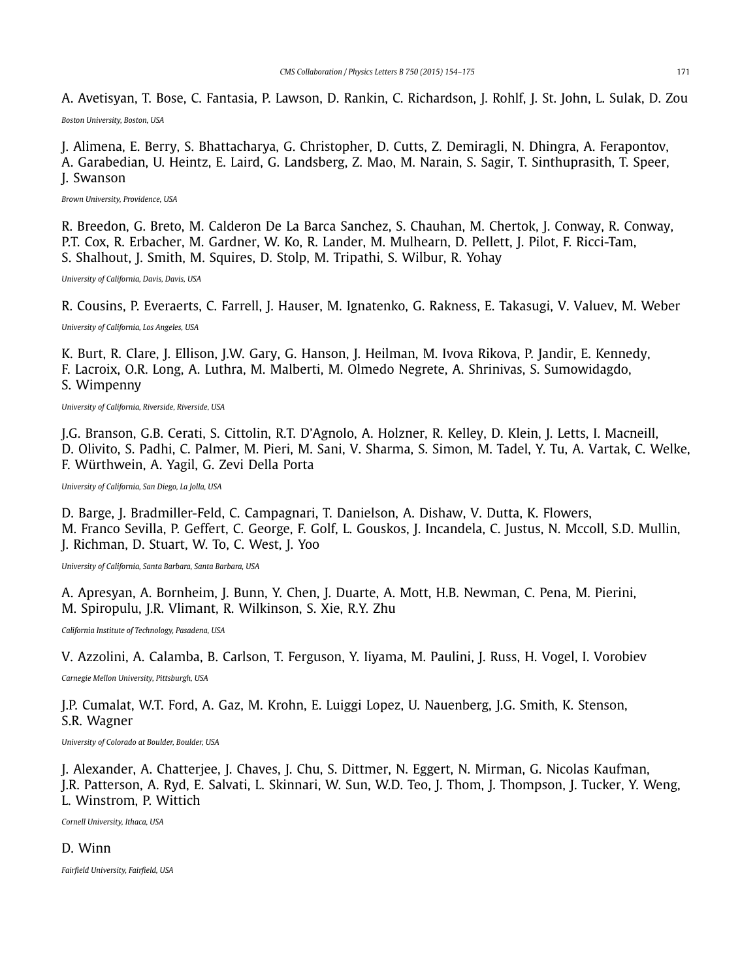J. Alimena, E. Berry, S. Bhattacharya, G. Christopher, D. Cutts, Z. Demiragli, N. Dhingra, A. Ferapontov, A. Garabedian, U. Heintz, E. Laird, G. Landsberg, Z. Mao, M. Narain, S. Sagir, T. Sinthuprasith, T. Speer, J. Swanson

*Brown University, Providence, USA*

R. Breedon, G. Breto, M. Calderon De La Barca Sanchez, S. Chauhan, M. Chertok, J. Conway, R. Conway, P.T. Cox, R. Erbacher, M. Gardner, W. Ko, R. Lander, M. Mulhearn, D. Pellett, J. Pilot, F. Ricci-Tam, S. Shalhout, J. Smith, M. Squires, D. Stolp, M. Tripathi, S. Wilbur, R. Yohay

*University of California, Davis, Davis, USA*

R. Cousins, P. Everaerts, C. Farrell, J. Hauser, M. Ignatenko, G. Rakness, E. Takasugi, V. Valuev, M. Weber

*University of California, Los Angeles, USA*

K. Burt, R. Clare, J. Ellison, J.W. Gary, G. Hanson, J. Heilman, M. Ivova Rikova, P. Jandir, E. Kennedy, F. Lacroix, O.R. Long, A. Luthra, M. Malberti, M. Olmedo Negrete, A. Shrinivas, S. Sumowidagdo, S. Wimpenny

*University of California, Riverside, Riverside, USA*

J.G. Branson, G.B. Cerati, S. Cittolin, R.T. D'Agnolo, A. Holzner, R. Kelley, D. Klein, J. Letts, I. Macneill, D. Olivito, S. Padhi, C. Palmer, M. Pieri, M. Sani, V. Sharma, S. Simon, M. Tadel, Y. Tu, A. Vartak, C. Welke, F. Würthwein, A. Yagil, G. Zevi Della Porta

*University of California, San Diego, La Jolla, USA*

D. Barge, J. Bradmiller-Feld, C. Campagnari, T. Danielson, A. Dishaw, V. Dutta, K. Flowers, M. Franco Sevilla, P. Geffert, C. George, F. Golf, L. Gouskos, J. Incandela, C. Justus, N. Mccoll, S.D. Mullin, J. Richman, D. Stuart, W. To, C. West, J. Yoo

*University of California, Santa Barbara, Santa Barbara, USA*

A. Apresyan, A. Bornheim, J. Bunn, Y. Chen, J. Duarte, A. Mott, H.B. Newman, C. Pena, M. Pierini, M. Spiropulu, J.R. Vlimant, R. Wilkinson, S. Xie, R.Y. Zhu

*California Institute of Technology, Pasadena, USA*

V. Azzolini, A. Calamba, B. Carlson, T. Ferguson, Y. Iiyama, M. Paulini, J. Russ, H. Vogel, I. Vorobiev

*Carnegie Mellon University, Pittsburgh, USA*

J.P. Cumalat, W.T. Ford, A. Gaz, M. Krohn, E. Luiggi Lopez, U. Nauenberg, J.G. Smith, K. Stenson, S.R. Wagner

*University of Colorado at Boulder, Boulder, USA*

J. Alexander, A. Chatterjee, J. Chaves, J. Chu, S. Dittmer, N. Eggert, N. Mirman, G. Nicolas Kaufman, J.R. Patterson, A. Ryd, E. Salvati, L. Skinnari, W. Sun, W.D. Teo, J. Thom, J. Thompson, J. Tucker, Y. Weng, L. Winstrom, P. Wittich

*Cornell University, Ithaca, USA*

## D. Winn

*Fairfield University, Fairfield, USA*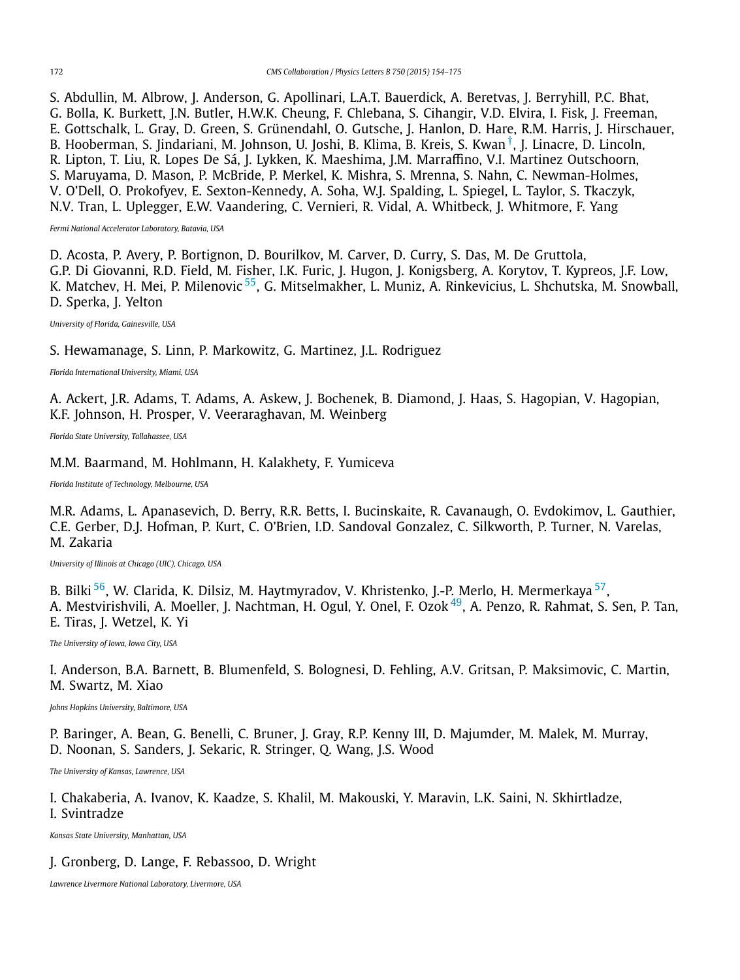S. Abdullin, M. Albrow, J. Anderson, G. Apollinari, L.A.T. Bauerdick, A. Beretvas, J. Berryhill, P.C. Bhat, G. Bolla, K. Burkett, J.N. Butler, H.W.K. Cheung, F. Chlebana, S. Cihangir, V.D. Elvira, I. Fisk, J. Freeman, E. Gottschalk, L. Gray, D. Green, S. Grünendahl, O. Gutsche, J. Hanlon, D. Hare, R.M. Harris, J. Hirschauer, B. Hooberman, S. Jindariani, M. Johnson, U. Joshi, B. Klima, B. Kreis, S. Kwan<sup>†</sup>, J. Linacre, D. Lincoln, R. Lipton, T. Liu, R. Lopes De Sá, J. Lykken, K. Maeshima, J.M. Marraffino, V.I. Martinez Outschoorn, S. Maruyama, D. Mason, P. McBride, P. Merkel, K. Mishra, S. Mrenna, S. Nahn, C. Newman-Holmes, V. O'Dell, O. Prokofyev, E. Sexton-Kennedy, A. Soha, W.J. Spalding, L. Spiegel, L. Taylor, S. Tkaczyk, N.V. Tran, L. Uplegger, E.W. Vaandering, C. Vernieri, R. Vidal, A. Whitbeck, J. Whitmore, F. Yang

*Fermi National Accelerator Laboratory, Batavia, USA*

D. Acosta, P. Avery, P. Bortignon, D. Bourilkov, M. Carver, D. Curry, S. Das, M. De Gruttola, G.P. Di Giovanni, R.D. Field, M. Fisher, I.K. Furic, J. Hugon, J. Konigsberg, A. Korytov, T. Kypreos, J.F. Low, K. Matchev, H. Mei, P. Milenovic [55,](#page-21-0) G. Mitselmakher, L. Muniz, A. Rinkevicius, L. Shchutska, M. Snowball, D. Sperka, J. Yelton

*University of Florida, Gainesville, USA*

S. Hewamanage, S. Linn, P. Markowitz, G. Martinez, J.L. Rodriguez

*Florida International University, Miami, USA*

A. Ackert, J.R. Adams, T. Adams, A. Askew, J. Bochenek, B. Diamond, J. Haas, S. Hagopian, V. Hagopian, K.F. Johnson, H. Prosper, V. Veeraraghavan, M. Weinberg

*Florida State University, Tallahassee, USA*

M.M. Baarmand, M. Hohlmann, H. Kalakhety, F. Yumiceva

*Florida Institute of Technology, Melbourne, USA*

M.R. Adams, L. Apanasevich, D. Berry, R.R. Betts, I. Bucinskaite, R. Cavanaugh, O. Evdokimov, L. Gauthier, C.E. Gerber, D.J. Hofman, P. Kurt, C. O'Brien, I.D. Sandoval Gonzalez, C. Silkworth, P. Turner, N. Varelas, M. Zakaria

*University of Illinois at Chicago (UIC), Chicago, USA*

B. Bilki<sup>56</sup>, W. Clarida, K. Dilsiz, M. Haytmyradov, V. Khristenko, J.-P. Merlo, H. Mermerkaya<sup>57</sup>, A. Mestvirishvili, A. Moeller, J. Nachtman, H. Ogul, Y. Onel, F. Ozok [49,](#page-21-0) A. Penzo, R. Rahmat, S. Sen, P. Tan, E. Tiras, J. Wetzel, K. Yi

*The University of Iowa, Iowa City, USA*

I. Anderson, B.A. Barnett, B. Blumenfeld, S. Bolognesi, D. Fehling, A.V. Gritsan, P. Maksimovic, C. Martin, M. Swartz, M. Xiao

*Johns Hopkins University, Baltimore, USA*

P. Baringer, A. Bean, G. Benelli, C. Bruner, J. Gray, R.P. Kenny III, D. Majumder, M. Malek, M. Murray, D. Noonan, S. Sanders, J. Sekaric, R. Stringer, Q. Wang, J.S. Wood

*The University of Kansas, Lawrence, USA*

I. Chakaberia, A. Ivanov, K. Kaadze, S. Khalil, M. Makouski, Y. Maravin, L.K. Saini, N. Skhirtladze, I. Svintradze

*Kansas State University, Manhattan, USA*

#### J. Gronberg, D. Lange, F. Rebassoo, D. Wright

*Lawrence Livermore National Laboratory, Livermore, USA*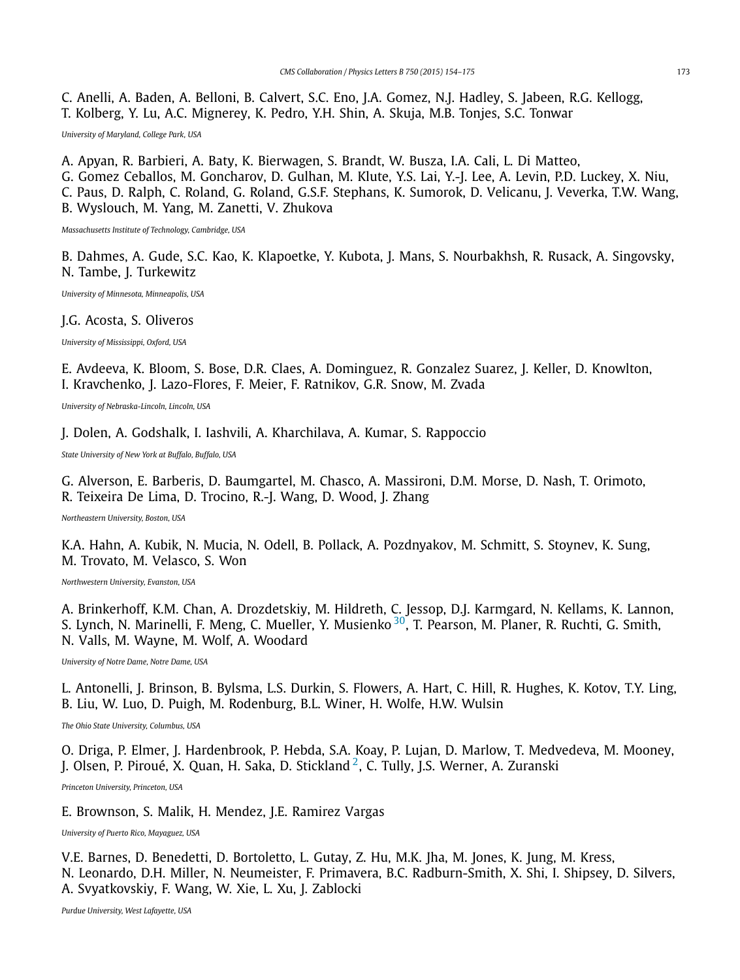C. Anelli, A. Baden, A. Belloni, B. Calvert, S.C. Eno, J.A. Gomez, N.J. Hadley, S. Jabeen, R.G. Kellogg, T. Kolberg, Y. Lu, A.C. Mignerey, K. Pedro, Y.H. Shin, A. Skuja, M.B. Tonjes, S.C. Tonwar

*University of Maryland, College Park, USA*

A. Apyan, R. Barbieri, A. Baty, K. Bierwagen, S. Brandt, W. Busza, I.A. Cali, L. Di Matteo, G. Gomez Ceballos, M. Goncharov, D. Gulhan, M. Klute, Y.S. Lai, Y.-J. Lee, A. Levin, P.D. Luckey, X. Niu, C. Paus, D. Ralph, C. Roland, G. Roland, G.S.F. Stephans, K. Sumorok, D. Velicanu, J. Veverka, T.W. Wang, B. Wyslouch, M. Yang, M. Zanetti, V. Zhukova

*Massachusetts Institute of Technology, Cambridge, USA*

B. Dahmes, A. Gude, S.C. Kao, K. Klapoetke, Y. Kubota, J. Mans, S. Nourbakhsh, R. Rusack, A. Singovsky, N. Tambe, J. Turkewitz

*University of Minnesota, Minneapolis, USA*

J.G. Acosta, S. Oliveros

*University of Mississippi, Oxford, USA*

E. Avdeeva, K. Bloom, S. Bose, D.R. Claes, A. Dominguez, R. Gonzalez Suarez, J. Keller, D. Knowlton, I. Kravchenko, J. Lazo-Flores, F. Meier, F. Ratnikov, G.R. Snow, M. Zvada

*University of Nebraska-Lincoln, Lincoln, USA*

J. Dolen, A. Godshalk, I. Iashvili, A. Kharchilava, A. Kumar, S. Rappoccio

*State University of New York at Buffalo, Buffalo, USA*

G. Alverson, E. Barberis, D. Baumgartel, M. Chasco, A. Massironi, D.M. Morse, D. Nash, T. Orimoto, R. Teixeira De Lima, D. Trocino, R.-J. Wang, D. Wood, J. Zhang

*Northeastern University, Boston, USA*

K.A. Hahn, A. Kubik, N. Mucia, N. Odell, B. Pollack, A. Pozdnyakov, M. Schmitt, S. Stoynev, K. Sung, M. Trovato, M. Velasco, S. Won

*Northwestern University, Evanston, USA*

A. Brinkerhoff, K.M. Chan, A. Drozdetskiy, M. Hildreth, C. Jessop, D.J. Karmgard, N. Kellams, K. Lannon, S. Lynch, N. Marinelli, F. Meng, C. Mueller, Y. Musienko <sup>30</sup>, T. Pearson, M. Planer, R. Ruchti, G. Smith, N. Valls, M. Wayne, M. Wolf, A. Woodard

*University of Notre Dame, Notre Dame, USA*

L. Antonelli, J. Brinson, B. Bylsma, L.S. Durkin, S. Flowers, A. Hart, C. Hill, R. Hughes, K. Kotov, T.Y. Ling, B. Liu, W. Luo, D. Puigh, M. Rodenburg, B.L. Winer, H. Wolfe, H.W. Wulsin

*The Ohio State University, Columbus, USA*

O. Driga, P. Elmer, J. Hardenbrook, P. Hebda, S.A. Koay, P. Lujan, D. Marlow, T. Medvedeva, M. Mooney, J. Olsen, P. Piroué, X. Quan, H. Saka, D. Stickland<sup>2</sup>, C. Tully, J.S. Werner, A. Zuranski

*Princeton University, Princeton, USA*

E. Brownson, S. Malik, H. Mendez, J.E. Ramirez Vargas

*University of Puerto Rico, Mayaguez, USA*

V.E. Barnes, D. Benedetti, D. Bortoletto, L. Gutay, Z. Hu, M.K. Jha, M. Jones, K. Jung, M. Kress, N. Leonardo, D.H. Miller, N. Neumeister, F. Primavera, B.C. Radburn-Smith, X. Shi, I. Shipsey, D. Silvers, A. Svyatkovskiy, F. Wang, W. Xie, L. Xu, J. Zablocki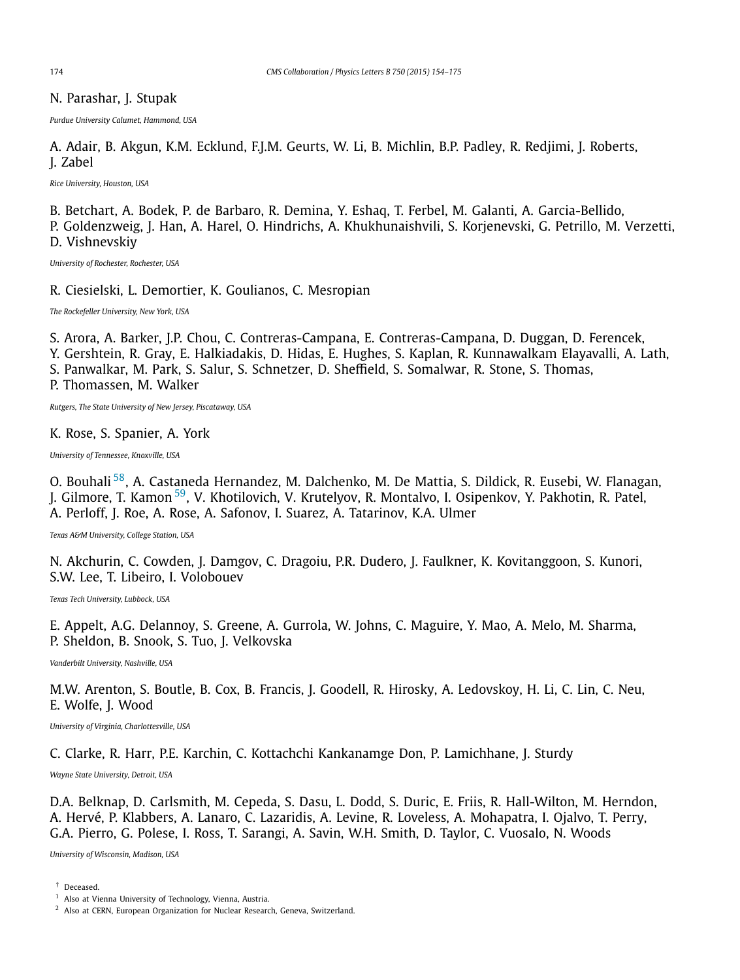#### <span id="page-20-0"></span>N. Parashar, J. Stupak

*Purdue University Calumet, Hammond, USA*

A. Adair, B. Akgun, K.M. Ecklund, F.J.M. Geurts, W. Li, B. Michlin, B.P. Padley, R. Redjimi, J. Roberts, J. Zabel

*Rice University, Houston, USA*

B. Betchart, A. Bodek, P. de Barbaro, R. Demina, Y. Eshaq, T. Ferbel, M. Galanti, A. Garcia-Bellido, P. Goldenzweig, J. Han, A. Harel, O. Hindrichs, A. Khukhunaishvili, S. Korjenevski, G. Petrillo, M. Verzetti, D. Vishnevskiy

*University of Rochester, Rochester, USA*

R. Ciesielski, L. Demortier, K. Goulianos, C. Mesropian

*The Rockefeller University, New York, USA*

S. Arora, A. Barker, J.P. Chou, C. Contreras-Campana, E. Contreras-Campana, D. Duggan, D. Ferencek, Y. Gershtein, R. Gray, E. Halkiadakis, D. Hidas, E. Hughes, S. Kaplan, R. Kunnawalkam Elayavalli, A. Lath, S. Panwalkar, M. Park, S. Salur, S. Schnetzer, D. Sheffield, S. Somalwar, R. Stone, S. Thomas, P. Thomassen, M. Walker

*Rutgers, The State University of New Jersey, Piscataway, USA*

K. Rose, S. Spanier, A. York

*University of Tennessee, Knoxville, USA*

O. Bouhali [58,](#page-21-0) A. Castaneda Hernandez, M. Dalchenko, M. De Mattia, S. Dildick, R. Eusebi, W. Flanagan, J. Gilmore, T. Kamon [59,](#page-21-0) V. Khotilovich, V. Krutelyov, R. Montalvo, I. Osipenkov, Y. Pakhotin, R. Patel, A. Perloff, J. Roe, A. Rose, A. Safonov, I. Suarez, A. Tatarinov, K.A. Ulmer

*Texas A&M University, College Station, USA*

N. Akchurin, C. Cowden, J. Damgov, C. Dragoiu, P.R. Dudero, J. Faulkner, K. Kovitanggoon, S. Kunori, S.W. Lee, T. Libeiro, I. Volobouev

*Texas Tech University, Lubbock, USA*

E. Appelt, A.G. Delannoy, S. Greene, A. Gurrola, W. Johns, C. Maguire, Y. Mao, A. Melo, M. Sharma, P. Sheldon, B. Snook, S. Tuo, J. Velkovska

*Vanderbilt University, Nashville, USA*

M.W. Arenton, S. Boutle, B. Cox, B. Francis, J. Goodell, R. Hirosky, A. Ledovskoy, H. Li, C. Lin, C. Neu, E. Wolfe, J. Wood

*University of Virginia, Charlottesville, USA*

C. Clarke, R. Harr, P.E. Karchin, C. Kottachchi Kankanamge Don, P. Lamichhane, J. Sturdy

*Wayne State University, Detroit, USA*

D.A. Belknap, D. Carlsmith, M. Cepeda, S. Dasu, L. Dodd, S. Duric, E. Friis, R. Hall-Wilton, M. Herndon, A. Hervé, P. Klabbers, A. Lanaro, C. Lazaridis, A. Levine, R. Loveless, A. Mohapatra, I. Ojalvo, T. Perry, G.A. Pierro, G. Polese, I. Ross, T. Sarangi, A. Savin, W.H. Smith, D. Taylor, C. Vuosalo, N. Woods

*University of Wisconsin, Madison, USA*

<sup>†</sup> Deceased.

<sup>&</sup>lt;sup>1</sup> Also at Vienna University of Technology, Vienna, Austria.

<sup>&</sup>lt;sup>2</sup> Also at CERN, European Organization for Nuclear Research, Geneva, Switzerland.